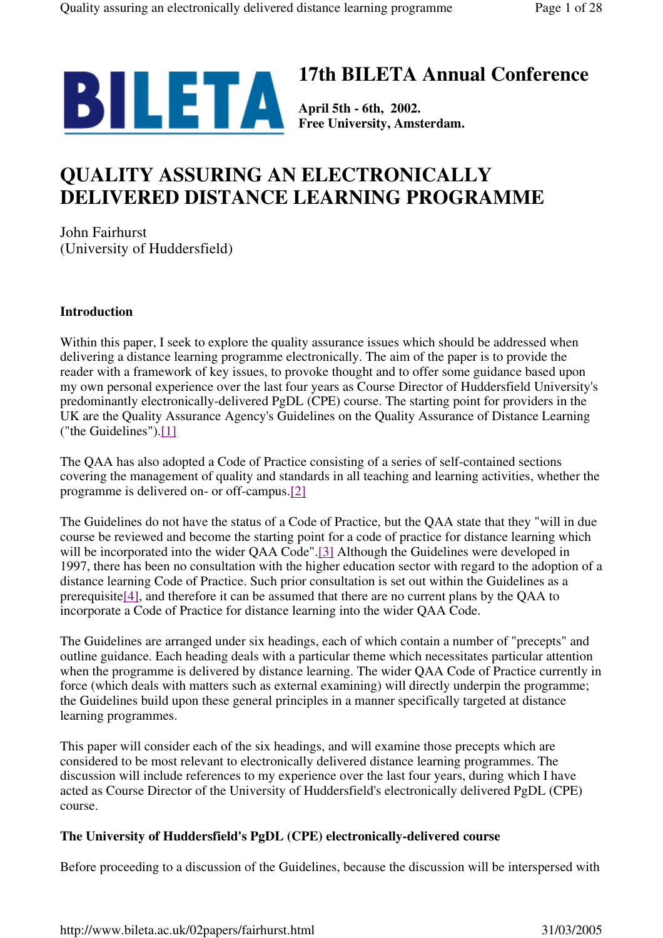

# **17th BILETA Annual Conference**

**Free University, Amsterdam.**

# **QUALITY ASSURING AN ELECTRONICALLY DELIVERED DISTANCE LEARNING PROGRAMME**

John Fairhurst (University of Huddersfield)

# **Introduction**

Within this paper, I seek to explore the quality assurance issues which should be addressed when delivering a distance learning programme electronically. The aim of the paper is to provide the reader with a framework of key issues, to provoke thought and to offer some guidance based upon my own personal experience over the last four years as Course Director of Huddersfield University's predominantly electronically-delivered PgDL (CPE) course. The starting point for providers in the UK are the Quality Assurance Agency's Guidelines on the Quality Assurance of Distance Learning ("the Guidelines").[1]

The QAA has also adopted a Code of Practice consisting of a series of self-contained sections covering the management of quality and standards in all teaching and learning activities, whether the programme is delivered on- or off-campus.[2]

The Guidelines do not have the status of a Code of Practice, but the QAA state that they "will in due course be reviewed and become the starting point for a code of practice for distance learning which will be incorporated into the wider QAA Code".[3] Although the Guidelines were developed in 1997, there has been no consultation with the higher education sector with regard to the adoption of a distance learning Code of Practice. Such prior consultation is set out within the Guidelines as a prerequisite[4], and therefore it can be assumed that there are no current plans by the QAA to incorporate a Code of Practice for distance learning into the wider QAA Code.

The Guidelines are arranged under six headings, each of which contain a number of "precepts" and outline guidance. Each heading deals with a particular theme which necessitates particular attention when the programme is delivered by distance learning. The wider QAA Code of Practice currently in force (which deals with matters such as external examining) will directly underpin the programme; the Guidelines build upon these general principles in a manner specifically targeted at distance learning programmes.

This paper will consider each of the six headings, and will examine those precepts which are considered to be most relevant to electronically delivered distance learning programmes. The discussion will include references to my experience over the last four years, during which I have acted as Course Director of the University of Huddersfield's electronically delivered PgDL (CPE) course.

# **The University of Huddersfield's PgDL (CPE) electronically-delivered course**

Before proceeding to a discussion of the Guidelines, because the discussion will be interspersed with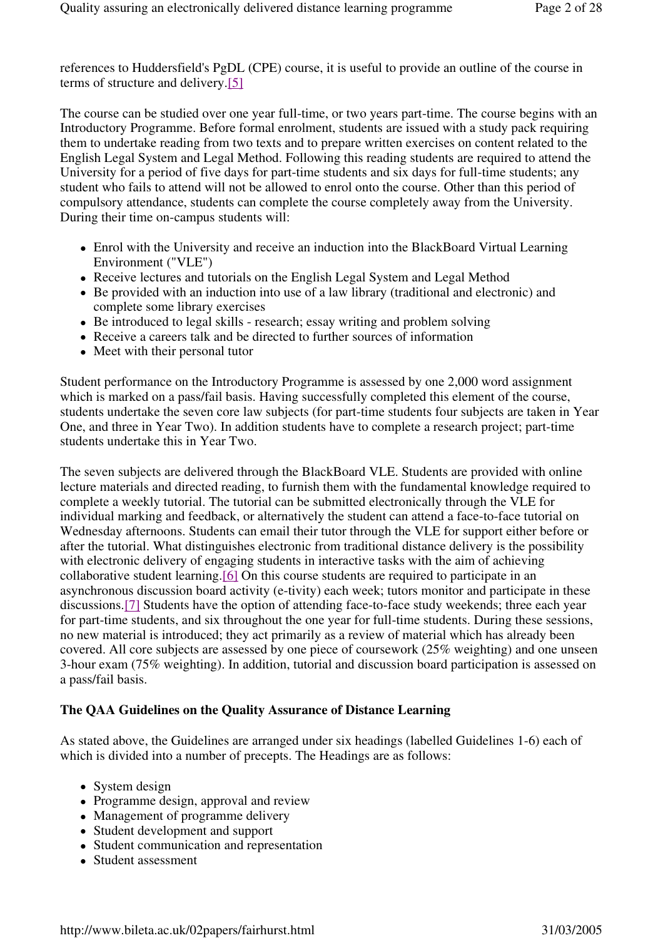references to Huddersfield's PgDL (CPE) course, it is useful to provide an outline of the course in terms of structure and delivery.[5]

The course can be studied over one year full-time, or two years part-time. The course begins with an Introductory Programme. Before formal enrolment, students are issued with a study pack requiring them to undertake reading from two texts and to prepare written exercises on content related to the English Legal System and Legal Method. Following this reading students are required to attend the University for a period of five days for part-time students and six days for full-time students; any student who fails to attend will not be allowed to enrol onto the course. Other than this period of compulsory attendance, students can complete the course completely away from the University. During their time on-campus students will:

- Enrol with the University and receive an induction into the BlackBoard Virtual Learning Environment ("VLE")
- Receive lectures and tutorials on the English Legal System and Legal Method
- Be provided with an induction into use of a law library (traditional and electronic) and complete some library exercises
- Be introduced to legal skills research; essay writing and problem solving
- Receive a careers talk and be directed to further sources of information
- Meet with their personal tutor

Student performance on the Introductory Programme is assessed by one 2,000 word assignment which is marked on a pass/fail basis. Having successfully completed this element of the course, students undertake the seven core law subjects (for part-time students four subjects are taken in Year One, and three in Year Two). In addition students have to complete a research project; part-time students undertake this in Year Two.

The seven subjects are delivered through the BlackBoard VLE. Students are provided with online lecture materials and directed reading, to furnish them with the fundamental knowledge required to complete a weekly tutorial. The tutorial can be submitted electronically through the VLE for individual marking and feedback, or alternatively the student can attend a face-to-face tutorial on Wednesday afternoons. Students can email their tutor through the VLE for support either before or after the tutorial. What distinguishes electronic from traditional distance delivery is the possibility with electronic delivery of engaging students in interactive tasks with the aim of achieving collaborative student learning.[6] On this course students are required to participate in an asynchronous discussion board activity (e-tivity) each week; tutors monitor and participate in these discussions.[7] Students have the option of attending face-to-face study weekends; three each year for part-time students, and six throughout the one year for full-time students. During these sessions, no new material is introduced; they act primarily as a review of material which has already been covered. All core subjects are assessed by one piece of coursework (25% weighting) and one unseen 3-hour exam (75% weighting). In addition, tutorial and discussion board participation is assessed on a pass/fail basis.

# **The QAA Guidelines on the Quality Assurance of Distance Learning**

As stated above, the Guidelines are arranged under six headings (labelled Guidelines 1-6) each of which is divided into a number of precepts. The Headings are as follows:

- System design
- Programme design, approval and review
- Management of programme delivery
- Student development and support
- Student communication and representation
- Student assessment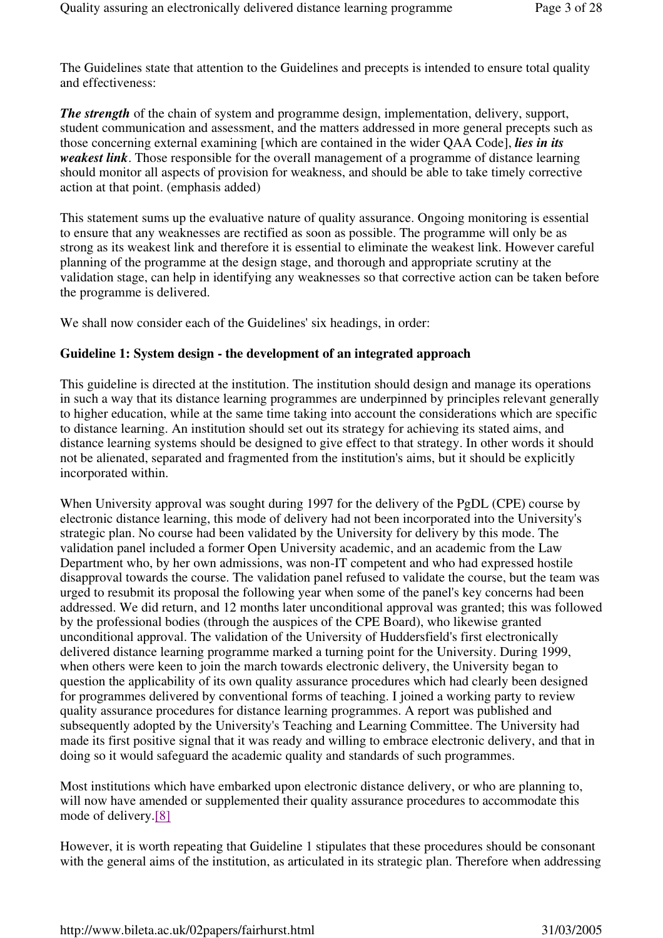The Guidelines state that attention to the Guidelines and precepts is intended to ensure total quality and effectiveness:

**The strength** of the chain of system and programme design, implementation, delivery, support, student communication and assessment, and the matters addressed in more general precepts such as those concerning external examining [which are contained in the wider QAA Code], *lies in its weakest link*. Those responsible for the overall management of a programme of distance learning should monitor all aspects of provision for weakness, and should be able to take timely corrective action at that point. (emphasis added)

This statement sums up the evaluative nature of quality assurance. Ongoing monitoring is essential to ensure that any weaknesses are rectified as soon as possible. The programme will only be as strong as its weakest link and therefore it is essential to eliminate the weakest link. However careful planning of the programme at the design stage, and thorough and appropriate scrutiny at the validation stage, can help in identifying any weaknesses so that corrective action can be taken before the programme is delivered.

We shall now consider each of the Guidelines' six headings, in order:

# **Guideline 1: System design - the development of an integrated approach**

This guideline is directed at the institution. The institution should design and manage its operations in such a way that its distance learning programmes are underpinned by principles relevant generally to higher education, while at the same time taking into account the considerations which are specific to distance learning. An institution should set out its strategy for achieving its stated aims, and distance learning systems should be designed to give effect to that strategy. In other words it should not be alienated, separated and fragmented from the institution's aims, but it should be explicitly incorporated within.

When University approval was sought during 1997 for the delivery of the PgDL (CPE) course by electronic distance learning, this mode of delivery had not been incorporated into the University's strategic plan. No course had been validated by the University for delivery by this mode. The validation panel included a former Open University academic, and an academic from the Law Department who, by her own admissions, was non-IT competent and who had expressed hostile disapproval towards the course. The validation panel refused to validate the course, but the team was urged to resubmit its proposal the following year when some of the panel's key concerns had been addressed. We did return, and 12 months later unconditional approval was granted; this was followed by the professional bodies (through the auspices of the CPE Board), who likewise granted unconditional approval. The validation of the University of Huddersfield's first electronically delivered distance learning programme marked a turning point for the University. During 1999, when others were keen to join the march towards electronic delivery, the University began to question the applicability of its own quality assurance procedures which had clearly been designed for programmes delivered by conventional forms of teaching. I joined a working party to review quality assurance procedures for distance learning programmes. A report was published and subsequently adopted by the University's Teaching and Learning Committee. The University had made its first positive signal that it was ready and willing to embrace electronic delivery, and that in doing so it would safeguard the academic quality and standards of such programmes.

Most institutions which have embarked upon electronic distance delivery, or who are planning to, will now have amended or supplemented their quality assurance procedures to accommodate this mode of delivery.[8]

However, it is worth repeating that Guideline 1 stipulates that these procedures should be consonant with the general aims of the institution, as articulated in its strategic plan. Therefore when addressing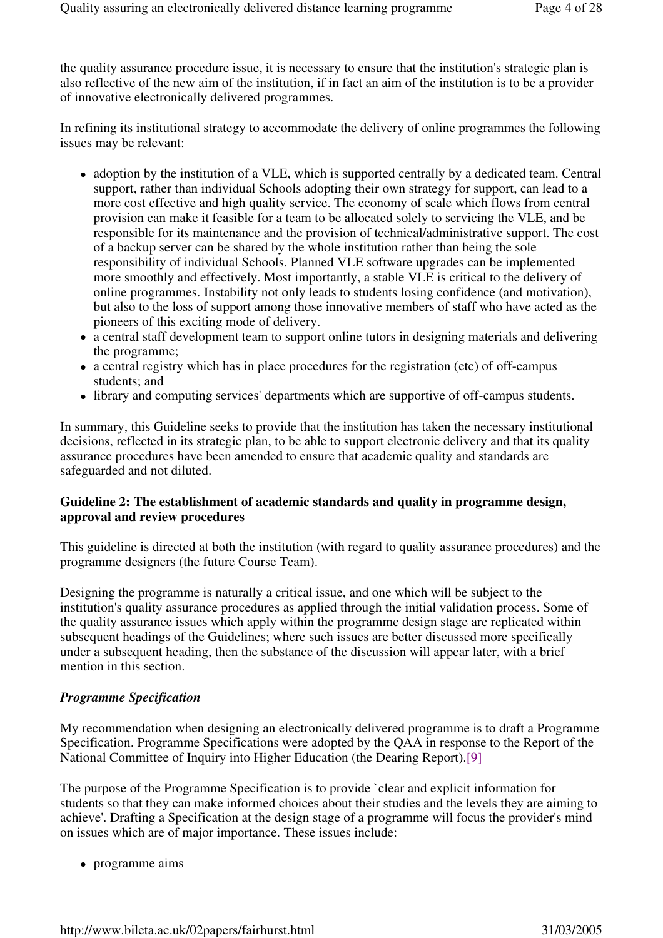the quality assurance procedure issue, it is necessary to ensure that the institution's strategic plan is also reflective of the new aim of the institution, if in fact an aim of the institution is to be a provider of innovative electronically delivered programmes.

In refining its institutional strategy to accommodate the delivery of online programmes the following issues may be relevant:

- adoption by the institution of a VLE, which is supported centrally by a dedicated team. Central support, rather than individual Schools adopting their own strategy for support, can lead to a more cost effective and high quality service. The economy of scale which flows from central provision can make it feasible for a team to be allocated solely to servicing the VLE, and be responsible for its maintenance and the provision of technical/administrative support. The cost of a backup server can be shared by the whole institution rather than being the sole responsibility of individual Schools. Planned VLE software upgrades can be implemented more smoothly and effectively. Most importantly, a stable VLE is critical to the delivery of online programmes. Instability not only leads to students losing confidence (and motivation), but also to the loss of support among those innovative members of staff who have acted as the pioneers of this exciting mode of delivery.
- a central staff development team to support online tutors in designing materials and delivering the programme;
- a central registry which has in place procedures for the registration (etc) of off-campus students; and
- library and computing services' departments which are supportive of off-campus students.

In summary, this Guideline seeks to provide that the institution has taken the necessary institutional decisions, reflected in its strategic plan, to be able to support electronic delivery and that its quality assurance procedures have been amended to ensure that academic quality and standards are safeguarded and not diluted.

# **Guideline 2: The establishment of academic standards and quality in programme design, approval and review procedures**

This guideline is directed at both the institution (with regard to quality assurance procedures) and the programme designers (the future Course Team).

Designing the programme is naturally a critical issue, and one which will be subject to the institution's quality assurance procedures as applied through the initial validation process. Some of the quality assurance issues which apply within the programme design stage are replicated within subsequent headings of the Guidelines; where such issues are better discussed more specifically under a subsequent heading, then the substance of the discussion will appear later, with a brief mention in this section.

#### *Programme Specification*

My recommendation when designing an electronically delivered programme is to draft a Programme Specification. Programme Specifications were adopted by the QAA in response to the Report of the National Committee of Inquiry into Higher Education (the Dearing Report).[9]

The purpose of the Programme Specification is to provide `clear and explicit information for students so that they can make informed choices about their studies and the levels they are aiming to achieve'. Drafting a Specification at the design stage of a programme will focus the provider's mind on issues which are of major importance. These issues include:

• programme aims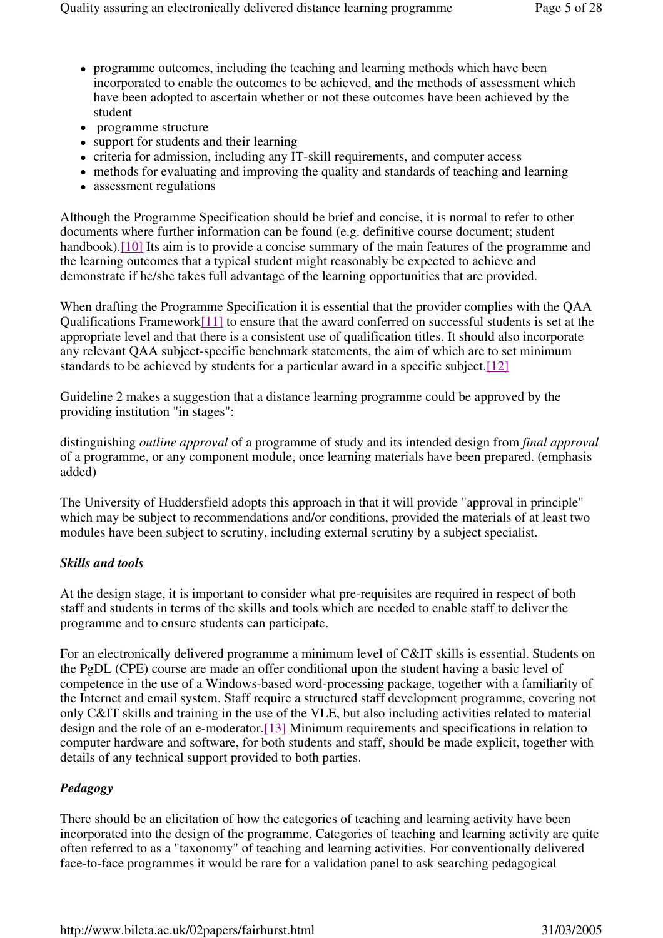- programme outcomes, including the teaching and learning methods which have been incorporated to enable the outcomes to be achieved, and the methods of assessment which have been adopted to ascertain whether or not these outcomes have been achieved by the student
- programme structure
- support for students and their learning
- criteria for admission, including any IT-skill requirements, and computer access
- methods for evaluating and improving the quality and standards of teaching and learning
- assessment regulations

Although the Programme Specification should be brief and concise, it is normal to refer to other documents where further information can be found (e.g. definitive course document; student handbook).<sup>[10]</sup> Its aim is to provide a concise summary of the main features of the programme and the learning outcomes that a typical student might reasonably be expected to achieve and demonstrate if he/she takes full advantage of the learning opportunities that are provided.

When drafting the Programme Specification it is essential that the provider complies with the QAA Qualifications Framework<sup>[11]</sup> to ensure that the award conferred on successful students is set at the appropriate level and that there is a consistent use of qualification titles. It should also incorporate any relevant QAA subject-specific benchmark statements, the aim of which are to set minimum standards to be achieved by students for a particular award in a specific subject.[12]

Guideline 2 makes a suggestion that a distance learning programme could be approved by the providing institution "in stages":

distinguishing *outline approval* of a programme of study and its intended design from *final approval*  of a programme, or any component module, once learning materials have been prepared. (emphasis added)

The University of Huddersfield adopts this approach in that it will provide "approval in principle" which may be subject to recommendations and/or conditions, provided the materials of at least two modules have been subject to scrutiny, including external scrutiny by a subject specialist.

# *Skills and tools*

At the design stage, it is important to consider what pre-requisites are required in respect of both staff and students in terms of the skills and tools which are needed to enable staff to deliver the programme and to ensure students can participate.

For an electronically delivered programme a minimum level of C&IT skills is essential. Students on the PgDL (CPE) course are made an offer conditional upon the student having a basic level of competence in the use of a Windows-based word-processing package, together with a familiarity of the Internet and email system. Staff require a structured staff development programme, covering not only C&IT skills and training in the use of the VLE, but also including activities related to material design and the role of an e-moderator.[13] Minimum requirements and specifications in relation to computer hardware and software, for both students and staff, should be made explicit, together with details of any technical support provided to both parties.

# *Pedagogy*

There should be an elicitation of how the categories of teaching and learning activity have been incorporated into the design of the programme. Categories of teaching and learning activity are quite often referred to as a "taxonomy" of teaching and learning activities. For conventionally delivered face-to-face programmes it would be rare for a validation panel to ask searching pedagogical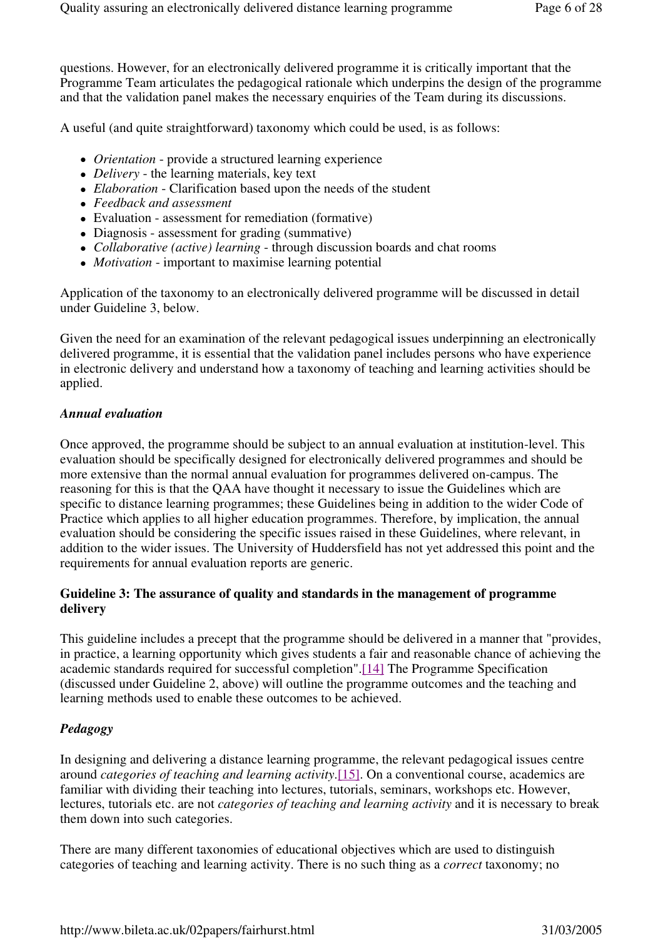questions. However, for an electronically delivered programme it is critically important that the Programme Team articulates the pedagogical rationale which underpins the design of the programme and that the validation panel makes the necessary enquiries of the Team during its discussions.

A useful (and quite straightforward) taxonomy which could be used, is as follows:

- *Orientation* provide a structured learning experience
- *Delivery* the learning materials, key text
- *Elaboration* Clarification based upon the needs of the student
- *Feedback and assessment*
- Evaluation assessment for remediation (formative)
- Diagnosis assessment for grading (summative)
- *Collaborative (active) learning* through discussion boards and chat rooms
- *Motivation* important to maximise learning potential

Application of the taxonomy to an electronically delivered programme will be discussed in detail under Guideline 3, below.

Given the need for an examination of the relevant pedagogical issues underpinning an electronically delivered programme, it is essential that the validation panel includes persons who have experience in electronic delivery and understand how a taxonomy of teaching and learning activities should be applied.

# *Annual evaluation*

Once approved, the programme should be subject to an annual evaluation at institution-level. This evaluation should be specifically designed for electronically delivered programmes and should be more extensive than the normal annual evaluation for programmes delivered on-campus. The reasoning for this is that the QAA have thought it necessary to issue the Guidelines which are specific to distance learning programmes; these Guidelines being in addition to the wider Code of Practice which applies to all higher education programmes. Therefore, by implication, the annual evaluation should be considering the specific issues raised in these Guidelines, where relevant, in addition to the wider issues. The University of Huddersfield has not yet addressed this point and the requirements for annual evaluation reports are generic.

# **Guideline 3: The assurance of quality and standards in the management of programme delivery**

This guideline includes a precept that the programme should be delivered in a manner that "provides, in practice, a learning opportunity which gives students a fair and reasonable chance of achieving the academic standards required for successful completion".[14] The Programme Specification (discussed under Guideline 2, above) will outline the programme outcomes and the teaching and learning methods used to enable these outcomes to be achieved.

# *Pedagogy*

In designing and delivering a distance learning programme, the relevant pedagogical issues centre around *categories of teaching and learning activity*.[15]. On a conventional course, academics are familiar with dividing their teaching into lectures, tutorials, seminars, workshops etc. However, lectures, tutorials etc. are not *categories of teaching and learning activity* and it is necessary to break them down into such categories.

There are many different taxonomies of educational objectives which are used to distinguish categories of teaching and learning activity. There is no such thing as a *correct* taxonomy; no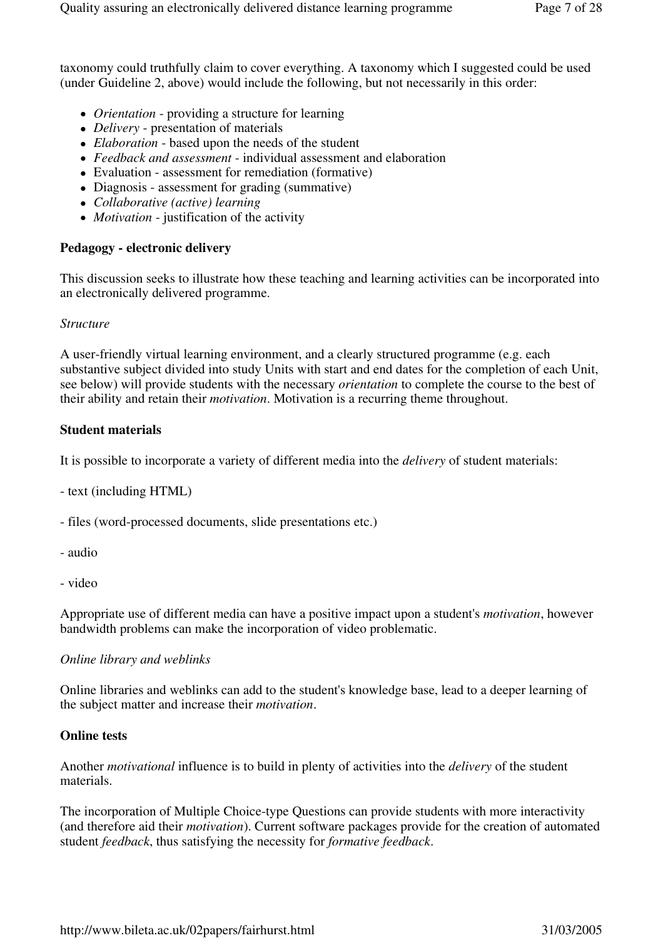taxonomy could truthfully claim to cover everything. A taxonomy which I suggested could be used (under Guideline 2, above) would include the following, but not necessarily in this order:

- *Orientation*  providing a structure for learning
- *Delivery*  presentation of materials
- *Elaboration* based upon the needs of the student
- *Feedback and assessment*  individual assessment and elaboration
- Evaluation assessment for remediation (formative)
- Diagnosis assessment for grading (summative)
- *Collaborative (active) learning*
- *Motivation*  justification of the activity

#### **Pedagogy - electronic delivery**

This discussion seeks to illustrate how these teaching and learning activities can be incorporated into an electronically delivered programme.

#### *Structure*

A user-friendly virtual learning environment, and a clearly structured programme (e.g. each substantive subject divided into study Units with start and end dates for the completion of each Unit, see below) will provide students with the necessary *orientation* to complete the course to the best of their ability and retain their *motivation*. Motivation is a recurring theme throughout.

# **Student materials**

It is possible to incorporate a variety of different media into the *delivery* of student materials:

- text (including HTML)
- files (word-processed documents, slide presentations etc.)
- audio
- video

Appropriate use of different media can have a positive impact upon a student's *motivation*, however bandwidth problems can make the incorporation of video problematic.

#### *Online library and weblinks*

Online libraries and weblinks can add to the student's knowledge base, lead to a deeper learning of the subject matter and increase their *motivation*.

#### **Online tests**

Another *motivational* influence is to build in plenty of activities into the *delivery* of the student materials.

The incorporation of Multiple Choice-type Questions can provide students with more interactivity (and therefore aid their *motivation*). Current software packages provide for the creation of automated student *feedback*, thus satisfying the necessity for *formative feedback*.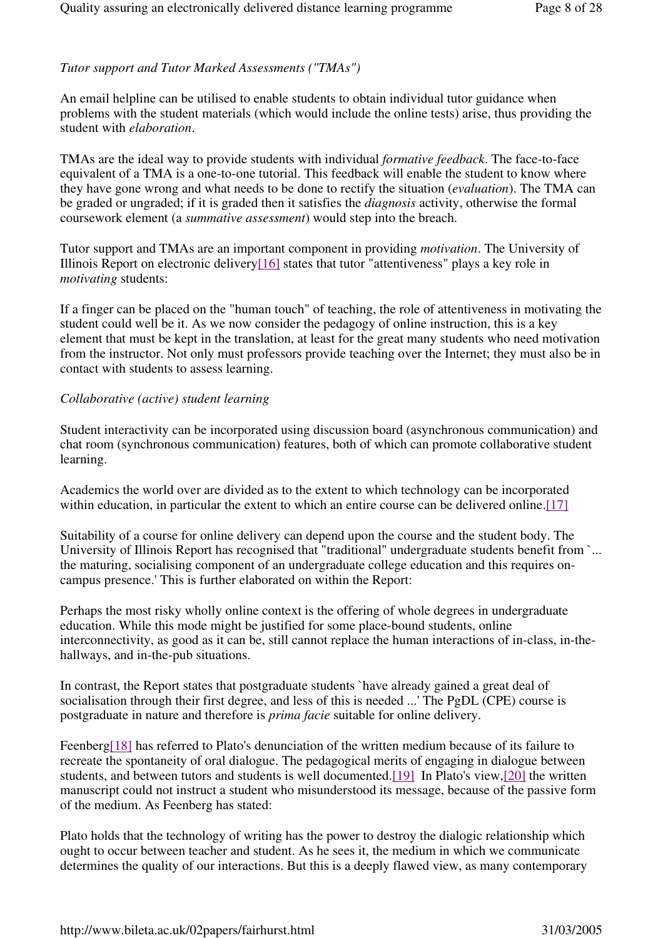# *Tutor support and Tutor Marked Assessments ("TMAs")*

An email helpline can be utilised to enable students to obtain individual tutor guidance when problems with the student materials (which would include the online tests) arise, thus providing the student with *elaboration*.

TMAs are the ideal way to provide students with individual *formative feedback*. The face-to-face equivalent of a TMA is a one-to-one tutorial. This feedback will enable the student to know where they have gone wrong and what needs to be done to rectify the situation (*evaluation*). The TMA can be graded or ungraded; if it is graded then it satisfies the *diagnosis* activity, otherwise the formal coursework element (a *summative assessment*) would step into the breach.

Tutor support and TMAs are an important component in providing *motivation*. The University of Illinois Report on electronic delivery[16] states that tutor "attentiveness" plays a key role in *motivating* students:

If a finger can be placed on the "human touch" of teaching, the role of attentiveness in motivating the student could well be it. As we now consider the pedagogy of online instruction, this is a key element that must be kept in the translation, at least for the great many students who need motivation from the instructor. Not only must professors provide teaching over the Internet; they must also be in contact with students to assess learning.

# *Collaborative (active) student learning*

Student interactivity can be incorporated using discussion board (asynchronous communication) and chat room (synchronous communication) features, both of which can promote collaborative student learning.

Academics the world over are divided as to the extent to which technology can be incorporated within education, in particular the extent to which an entire course can be delivered online.<sup>[17]</sup>

Suitability of a course for online delivery can depend upon the course and the student body. The University of Illinois Report has recognised that "traditional" undergraduate students benefit from `... the maturing, socialising component of an undergraduate college education and this requires oncampus presence.' This is further elaborated on within the Report:

Perhaps the most risky wholly online context is the offering of whole degrees in undergraduate education. While this mode might be justified for some place-bound students, online interconnectivity, as good as it can be, still cannot replace the human interactions of in-class, in-thehallways, and in-the-pub situations.

In contrast, the Report states that postgraduate students `have already gained a great deal of socialisation through their first degree, and less of this is needed ...' The PgDL (CPE) course is postgraduate in nature and therefore is *prima facie* suitable for online delivery.

Feenberg[18] has referred to Plato's denunciation of the written medium because of its failure to recreate the spontaneity of oral dialogue. The pedagogical merits of engaging in dialogue between students, and between tutors and students is well documented.[19] In Plato's view,[20] the written manuscript could not instruct a student who misunderstood its message, because of the passive form of the medium. As Feenberg has stated:

Plato holds that the technology of writing has the power to destroy the dialogic relationship which ought to occur between teacher and student. As he sees it, the medium in which we communicate determines the quality of our interactions. But this is a deeply flawed view, as many contemporary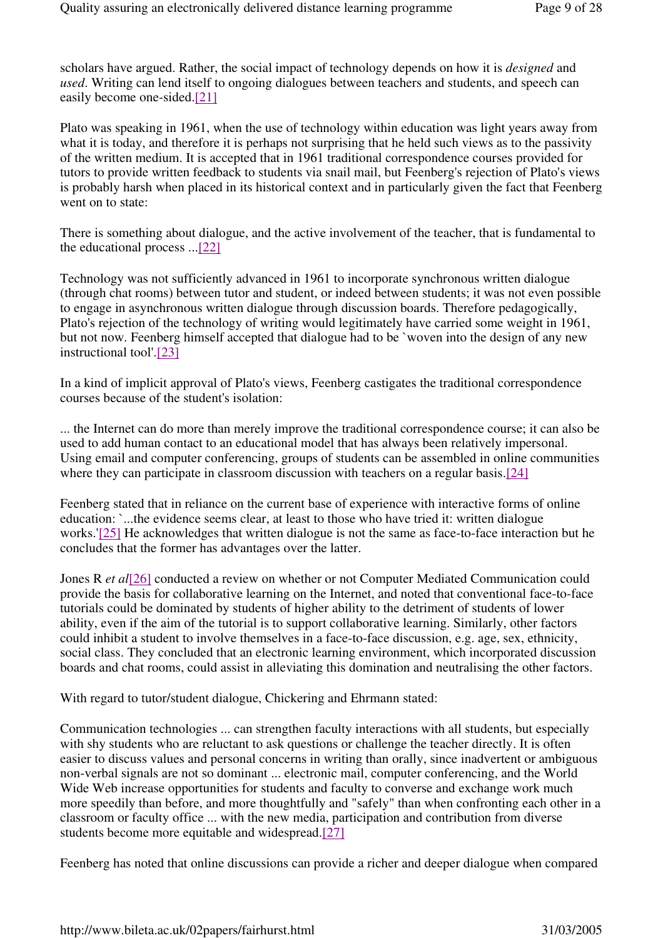scholars have argued. Rather, the social impact of technology depends on how it is *designed* and *used*. Writing can lend itself to ongoing dialogues between teachers and students, and speech can easily become one-sided.[21]

Plato was speaking in 1961, when the use of technology within education was light years away from what it is today, and therefore it is perhaps not surprising that he held such views as to the passivity of the written medium. It is accepted that in 1961 traditional correspondence courses provided for tutors to provide written feedback to students via snail mail, but Feenberg's rejection of Plato's views is probably harsh when placed in its historical context and in particularly given the fact that Feenberg went on to state:

There is something about dialogue, and the active involvement of the teacher, that is fundamental to the educational process ...[22]

Technology was not sufficiently advanced in 1961 to incorporate synchronous written dialogue (through chat rooms) between tutor and student, or indeed between students; it was not even possible to engage in asynchronous written dialogue through discussion boards. Therefore pedagogically, Plato's rejection of the technology of writing would legitimately have carried some weight in 1961, but not now. Feenberg himself accepted that dialogue had to be `woven into the design of any new instructional tool'.[23]

In a kind of implicit approval of Plato's views, Feenberg castigates the traditional correspondence courses because of the student's isolation:

... the Internet can do more than merely improve the traditional correspondence course; it can also be used to add human contact to an educational model that has always been relatively impersonal. Using email and computer conferencing, groups of students can be assembled in online communities where they can participate in classroom discussion with teachers on a regular basis.[24]

Feenberg stated that in reliance on the current base of experience with interactive forms of online education: `...the evidence seems clear, at least to those who have tried it: written dialogue works.'[25] He acknowledges that written dialogue is not the same as face-to-face interaction but he concludes that the former has advantages over the latter.

Jones R *et al*[26] conducted a review on whether or not Computer Mediated Communication could provide the basis for collaborative learning on the Internet, and noted that conventional face-to-face tutorials could be dominated by students of higher ability to the detriment of students of lower ability, even if the aim of the tutorial is to support collaborative learning. Similarly, other factors could inhibit a student to involve themselves in a face-to-face discussion, e.g. age, sex, ethnicity, social class. They concluded that an electronic learning environment, which incorporated discussion boards and chat rooms, could assist in alleviating this domination and neutralising the other factors.

With regard to tutor/student dialogue, Chickering and Ehrmann stated:

Communication technologies ... can strengthen faculty interactions with all students, but especially with shy students who are reluctant to ask questions or challenge the teacher directly. It is often easier to discuss values and personal concerns in writing than orally, since inadvertent or ambiguous non-verbal signals are not so dominant ... electronic mail, computer conferencing, and the World Wide Web increase opportunities for students and faculty to converse and exchange work much more speedily than before, and more thoughtfully and "safely" than when confronting each other in a classroom or faculty office ... with the new media, participation and contribution from diverse students become more equitable and widespread.[27]

Feenberg has noted that online discussions can provide a richer and deeper dialogue when compared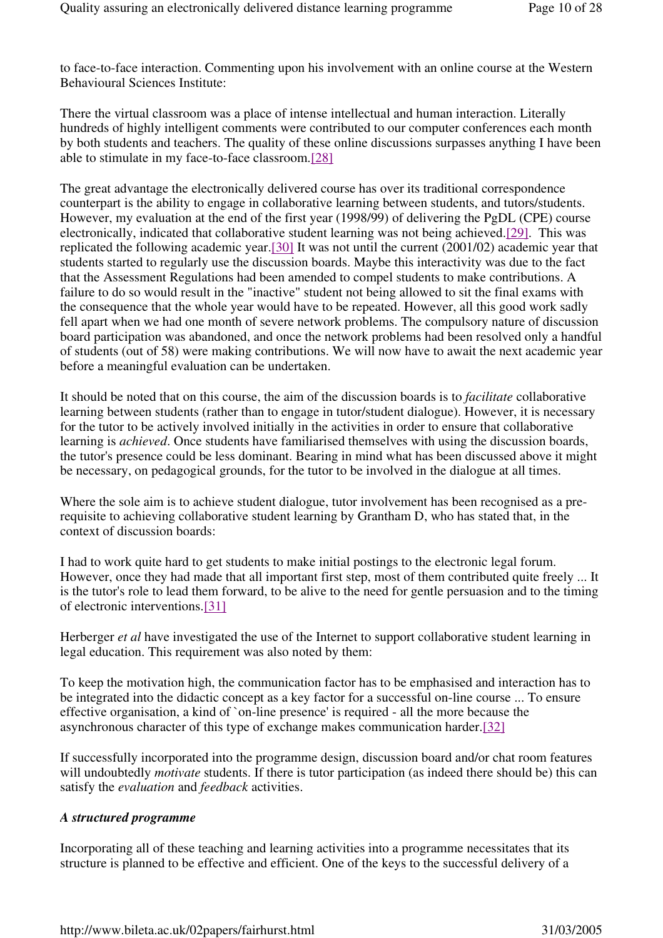to face-to-face interaction. Commenting upon his involvement with an online course at the Western Behavioural Sciences Institute:

There the virtual classroom was a place of intense intellectual and human interaction. Literally hundreds of highly intelligent comments were contributed to our computer conferences each month by both students and teachers. The quality of these online discussions surpasses anything I have been able to stimulate in my face-to-face classroom.[28]

The great advantage the electronically delivered course has over its traditional correspondence counterpart is the ability to engage in collaborative learning between students, and tutors/students. However, my evaluation at the end of the first year (1998/99) of delivering the PgDL (CPE) course electronically, indicated that collaborative student learning was not being achieved.[29]. This was replicated the following academic year.[30] It was not until the current (2001/02) academic year that students started to regularly use the discussion boards. Maybe this interactivity was due to the fact that the Assessment Regulations had been amended to compel students to make contributions. A failure to do so would result in the "inactive" student not being allowed to sit the final exams with the consequence that the whole year would have to be repeated. However, all this good work sadly fell apart when we had one month of severe network problems. The compulsory nature of discussion board participation was abandoned, and once the network problems had been resolved only a handful of students (out of 58) were making contributions. We will now have to await the next academic year before a meaningful evaluation can be undertaken.

It should be noted that on this course, the aim of the discussion boards is to *facilitate* collaborative learning between students (rather than to engage in tutor/student dialogue). However, it is necessary for the tutor to be actively involved initially in the activities in order to ensure that collaborative learning is *achieved*. Once students have familiarised themselves with using the discussion boards, the tutor's presence could be less dominant. Bearing in mind what has been discussed above it might be necessary, on pedagogical grounds, for the tutor to be involved in the dialogue at all times.

Where the sole aim is to achieve student dialogue, tutor involvement has been recognised as a prerequisite to achieving collaborative student learning by Grantham D, who has stated that, in the context of discussion boards:

I had to work quite hard to get students to make initial postings to the electronic legal forum. However, once they had made that all important first step, most of them contributed quite freely ... It is the tutor's role to lead them forward, to be alive to the need for gentle persuasion and to the timing of electronic interventions.[31]

Herberger *et al* have investigated the use of the Internet to support collaborative student learning in legal education. This requirement was also noted by them:

To keep the motivation high, the communication factor has to be emphasised and interaction has to be integrated into the didactic concept as a key factor for a successful on-line course ... To ensure effective organisation, a kind of `on-line presence' is required - all the more because the asynchronous character of this type of exchange makes communication harder.[32]

If successfully incorporated into the programme design, discussion board and/or chat room features will undoubtedly *motivate* students. If there is tutor participation (as indeed there should be) this can satisfy the *evaluation* and *feedback* activities.

# *A structured programme*

Incorporating all of these teaching and learning activities into a programme necessitates that its structure is planned to be effective and efficient. One of the keys to the successful delivery of a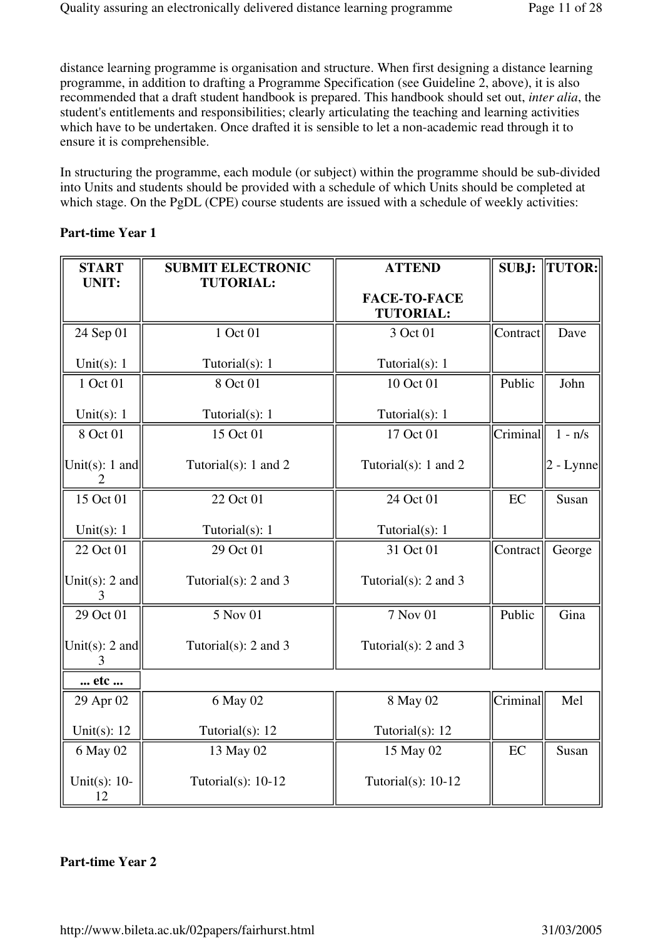distance learning programme is organisation and structure. When first designing a distance learning programme, in addition to drafting a Programme Specification (see Guideline 2, above), it is also recommended that a draft student handbook is prepared. This handbook should set out, *inter alia*, the student's entitlements and responsibilities; clearly articulating the teaching and learning activities which have to be undertaken. Once drafted it is sensible to let a non-academic read through it to ensure it is comprehensible.

In structuring the programme, each module (or subject) within the programme should be sub-divided into Units and students should be provided with a schedule of which Units should be completed at which stage. On the PgDL (CPE) course students are issued with a schedule of weekly activities:

#### **Part-time Year 1**

| <b>START</b><br><b>UNIT:</b>            | <b>SUBMIT ELECTRONIC</b><br><b>TUTORIAL:</b> | <b>ATTEND</b>                           | <b>SUBJ:</b> | <b>TUTOR:</b> |
|-----------------------------------------|----------------------------------------------|-----------------------------------------|--------------|---------------|
|                                         |                                              | <b>FACE-TO-FACE</b><br><b>TUTORIAL:</b> |              |               |
| 24 Sep 01                               | 1 Oct 01                                     | 3 Oct 01                                | Contract     | Dave          |
| Unit $(s)$ : 1                          | Tutorial(s): 1                               | Tutorial(s): 1                          |              |               |
| 1 Oct 01                                | 8 Oct 01                                     | 10 Oct 01                               | Public       | John          |
| Unit $(s)$ : 1                          | Tutorial(s): 1                               | Tutorial(s): 1                          |              |               |
| 8 Oct 01                                | 15 Oct 01                                    | 17 Oct 01                               | Criminal     | $1 - n/s$     |
| Unit(s): 1 and<br>$\mathcal{D}_{\cdot}$ | Tutorial $(s)$ : 1 and 2                     | Tutorial $(s)$ : 1 and 2                |              | $2$ - Lynne   |
| 15 Oct 01                               | 22 Oct 01                                    | 24 Oct 01                               | EC           | Susan         |
| Unit $(s)$ : 1                          | Tutorial(s): 1                               | Tutorial(s): 1                          |              |               |
| 22 Oct 01                               | 29 Oct 01                                    | 31 Oct 01                               | Contract     | George        |
| Unit(s): 2 and                          | Tutorial $(s)$ : 2 and 3                     | Tutorial $(s)$ : 2 and 3                |              |               |
| 29 Oct 01                               | 5 Nov 01                                     | 7 Nov 01                                | Public       | Gina          |
| Unit(s): 2 and                          | Tutorial $(s)$ : 2 and 3                     | Tutorial $(s)$ : 2 and 3                |              |               |
| etc                                     |                                              |                                         |              |               |
| 29 Apr 02                               | 6 May 02                                     | 8 May 02                                | Criminal     | Mel           |
| Unit(s): $12$                           | Tutorial(s): 12                              | Tutorial(s): 12                         |              |               |
| 6 May 02                                | 13 May 02                                    | 15 May 02                               | EC           | Susan         |
| Unit $(s)$ : 10-<br>12                  | Tutorial $(s)$ : 10-12                       | Tutorial $(s)$ : 10-12                  |              |               |

# **Part-time Year 2**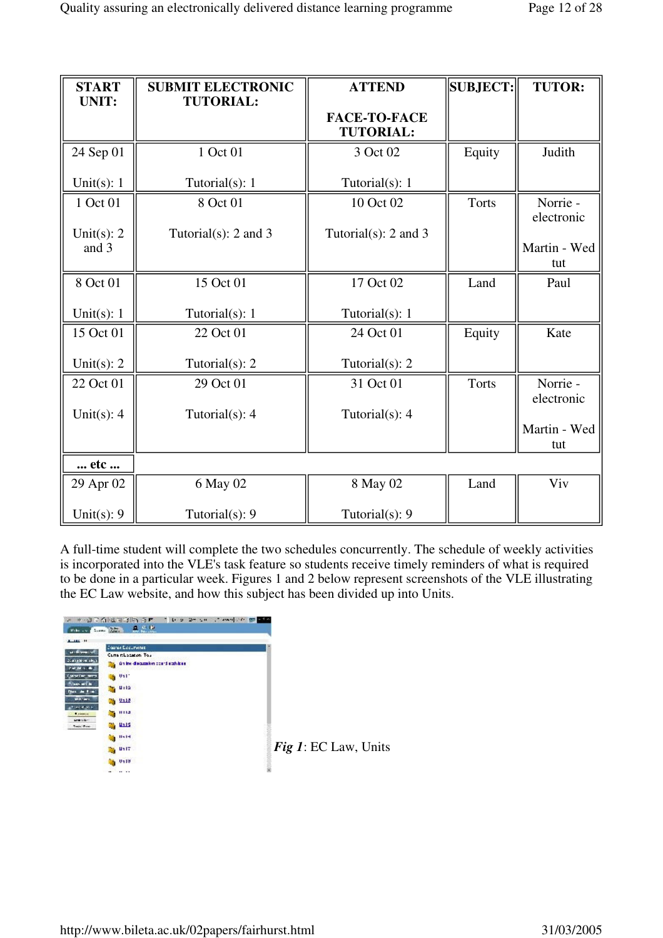| <b>START</b><br><b>UNIT:</b> | <b>SUBMIT ELECTRONIC</b><br><b>TUTORIAL:</b> | <b>ATTEND</b>                           | SUBJECT:     | <b>TUTOR:</b>                     |
|------------------------------|----------------------------------------------|-----------------------------------------|--------------|-----------------------------------|
|                              |                                              | <b>FACE-TO-FACE</b><br><b>TUTORIAL:</b> |              |                                   |
| 24 Sep 01                    | 1 Oct 01                                     | 3 Oct 02                                | Equity       | Judith                            |
| Unit $(s)$ : 1               | Tutorial $(s)$ : 1                           | Tutorial $(s)$ : 1                      |              |                                   |
| 1 Oct 01                     | 8 Oct 01                                     | 10 Oct 02                               | <b>Torts</b> | Norrie -<br>electronic            |
| Unit $(s)$ : 2<br>and 3      | Tutorial $(s)$ : 2 and 3                     | Tutorial $(s)$ : 2 and 3                |              | Martin - Wed<br>tut               |
| 8 Oct 01                     | 15 Oct 01                                    | 17 Oct 02                               | Land         | Paul                              |
| Unit $(s)$ : 1               | Tutorial(s): 1                               | Tutorial $(s)$ : 1                      |              |                                   |
| 15 Oct 01                    | 22 Oct 01                                    | 24 Oct 01                               | Equity       | Kate                              |
| Unit(s): $2$                 | Tutorial $(s)$ : 2                           | Tutorial $(s)$ : 2                      |              |                                   |
| 22 Oct 01                    | 29 Oct 01                                    | 31 Oct 01                               | <b>Torts</b> | Norrie -                          |
| Unit $(s)$ : 4               | Tutorial(s): 4                               | Tutorial $(s)$ : 4                      |              | electronic<br>Martin - Wed<br>tut |
| etc                          |                                              |                                         |              |                                   |
| 29 Apr 02                    | 6 May 02                                     | 8 May 02                                | Land         | Viv                               |
| Unit $(s)$ : 9               | Tutorial $(s)$ : 9                           | Tutorial $(s)$ : 9                      |              |                                   |

A full-time student will complete the two schedules concurrently. The schedule of weekly activities is incorporated into the VLE's task feature so students receive timely reminders of what is required to be done in a particular week. Figures 1 and 2 below represent screenshots of the VLE illustrating the EC Law website, and how this subject has been divided up into Units.



*Fig 1*: EC Law, Units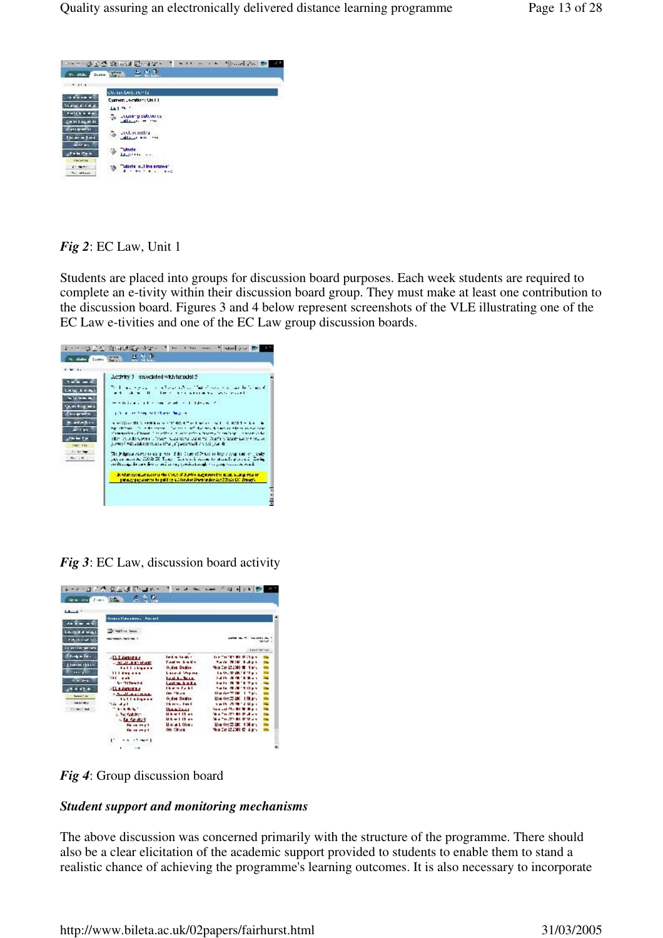

*Fig 2*: EC Law, Unit 1

Students are placed into groups for discussion board purposes. Each week students are required to complete an e-tivity within their discussion board group. They must make at least one contribution to the discussion board. Figures 3 and 4 below represent screenshots of the VLE illustrating one of the EC Law e-tivities and one of the EC Law group discussion boards.



# *Fig 3*: EC Law, discussion board activity



*Fig 4*: Group discussion board

# *Student support and monitoring mechanisms*

The above discussion was concerned primarily with the structure of the programme. There should also be a clear elicitation of the academic support provided to students to enable them to stand a realistic chance of achieving the programme's learning outcomes. It is also necessary to incorporate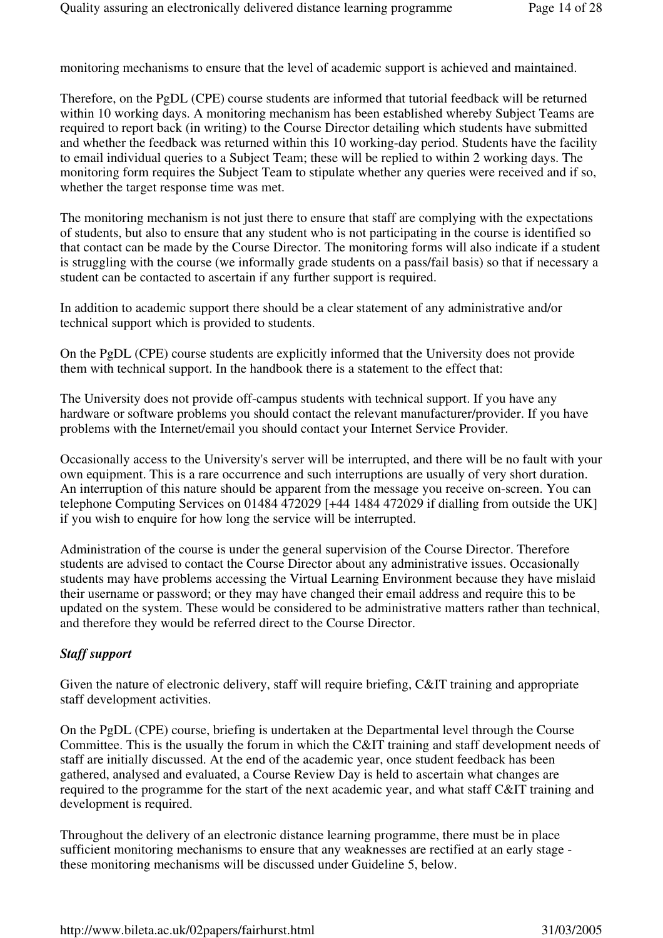monitoring mechanisms to ensure that the level of academic support is achieved and maintained.

Therefore, on the PgDL (CPE) course students are informed that tutorial feedback will be returned within 10 working days. A monitoring mechanism has been established whereby Subject Teams are required to report back (in writing) to the Course Director detailing which students have submitted and whether the feedback was returned within this 10 working-day period. Students have the facility to email individual queries to a Subject Team; these will be replied to within 2 working days. The monitoring form requires the Subject Team to stipulate whether any queries were received and if so, whether the target response time was met.

The monitoring mechanism is not just there to ensure that staff are complying with the expectations of students, but also to ensure that any student who is not participating in the course is identified so that contact can be made by the Course Director. The monitoring forms will also indicate if a student is struggling with the course (we informally grade students on a pass/fail basis) so that if necessary a student can be contacted to ascertain if any further support is required.

In addition to academic support there should be a clear statement of any administrative and/or technical support which is provided to students.

On the PgDL (CPE) course students are explicitly informed that the University does not provide them with technical support. In the handbook there is a statement to the effect that:

The University does not provide off-campus students with technical support. If you have any hardware or software problems you should contact the relevant manufacturer/provider. If you have problems with the Internet/email you should contact your Internet Service Provider.

Occasionally access to the University's server will be interrupted, and there will be no fault with your own equipment. This is a rare occurrence and such interruptions are usually of very short duration. An interruption of this nature should be apparent from the message you receive on-screen. You can telephone Computing Services on 01484 472029 [+44 1484 472029 if dialling from outside the UK] if you wish to enquire for how long the service will be interrupted.

Administration of the course is under the general supervision of the Course Director. Therefore students are advised to contact the Course Director about any administrative issues. Occasionally students may have problems accessing the Virtual Learning Environment because they have mislaid their username or password; or they may have changed their email address and require this to be updated on the system. These would be considered to be administrative matters rather than technical, and therefore they would be referred direct to the Course Director.

# *Staff support*

Given the nature of electronic delivery, staff will require briefing, C&IT training and appropriate staff development activities.

On the PgDL (CPE) course, briefing is undertaken at the Departmental level through the Course Committee. This is the usually the forum in which the C&IT training and staff development needs of staff are initially discussed. At the end of the academic year, once student feedback has been gathered, analysed and evaluated, a Course Review Day is held to ascertain what changes are required to the programme for the start of the next academic year, and what staff C&IT training and development is required.

Throughout the delivery of an electronic distance learning programme, there must be in place sufficient monitoring mechanisms to ensure that any weaknesses are rectified at an early stage these monitoring mechanisms will be discussed under Guideline 5, below.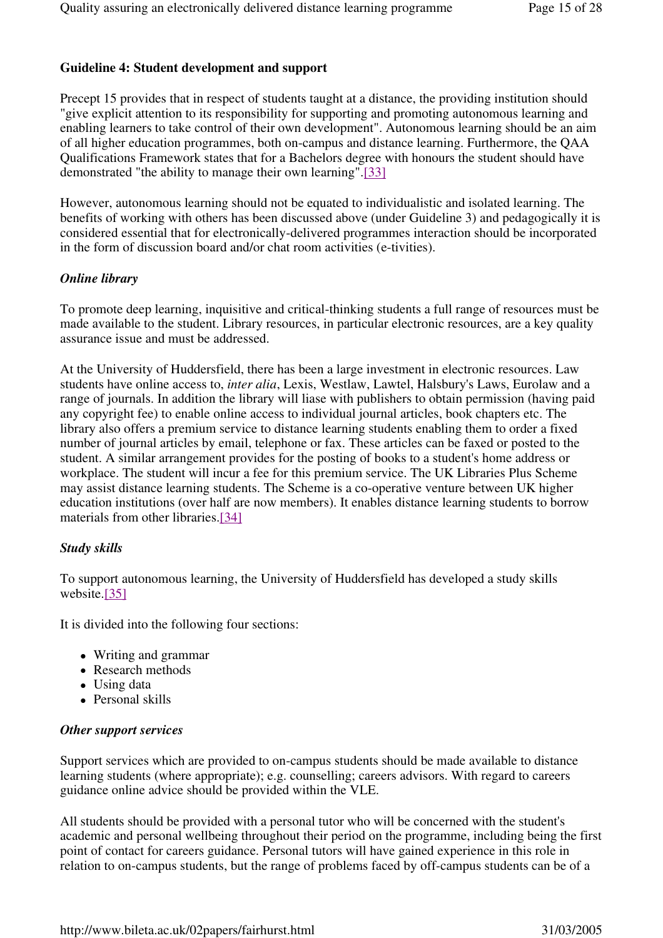# **Guideline 4: Student development and support**

Precept 15 provides that in respect of students taught at a distance, the providing institution should "give explicit attention to its responsibility for supporting and promoting autonomous learning and enabling learners to take control of their own development". Autonomous learning should be an aim of all higher education programmes, both on-campus and distance learning. Furthermore, the QAA Qualifications Framework states that for a Bachelors degree with honours the student should have demonstrated "the ability to manage their own learning".[33]

However, autonomous learning should not be equated to individualistic and isolated learning. The benefits of working with others has been discussed above (under Guideline 3) and pedagogically it is considered essential that for electronically-delivered programmes interaction should be incorporated in the form of discussion board and/or chat room activities (e-tivities).

#### *Online library*

To promote deep learning, inquisitive and critical-thinking students a full range of resources must be made available to the student. Library resources, in particular electronic resources, are a key quality assurance issue and must be addressed.

At the University of Huddersfield, there has been a large investment in electronic resources. Law students have online access to, *inter alia*, Lexis, Westlaw, Lawtel, Halsbury's Laws, Eurolaw and a range of journals. In addition the library will liase with publishers to obtain permission (having paid any copyright fee) to enable online access to individual journal articles, book chapters etc. The library also offers a premium service to distance learning students enabling them to order a fixed number of journal articles by email, telephone or fax. These articles can be faxed or posted to the student. A similar arrangement provides for the posting of books to a student's home address or workplace. The student will incur a fee for this premium service. The UK Libraries Plus Scheme may assist distance learning students. The Scheme is a co-operative venture between UK higher education institutions (over half are now members). It enables distance learning students to borrow materials from other libraries.[34]

#### *Study skills*

To support autonomous learning, the University of Huddersfield has developed a study skills website.[35]

It is divided into the following four sections:

- Writing and grammar
- Research methods
- Using data
- Personal skills

#### *Other support services*

Support services which are provided to on-campus students should be made available to distance learning students (where appropriate); e.g. counselling; careers advisors. With regard to careers guidance online advice should be provided within the VLE.

All students should be provided with a personal tutor who will be concerned with the student's academic and personal wellbeing throughout their period on the programme, including being the first point of contact for careers guidance. Personal tutors will have gained experience in this role in relation to on-campus students, but the range of problems faced by off-campus students can be of a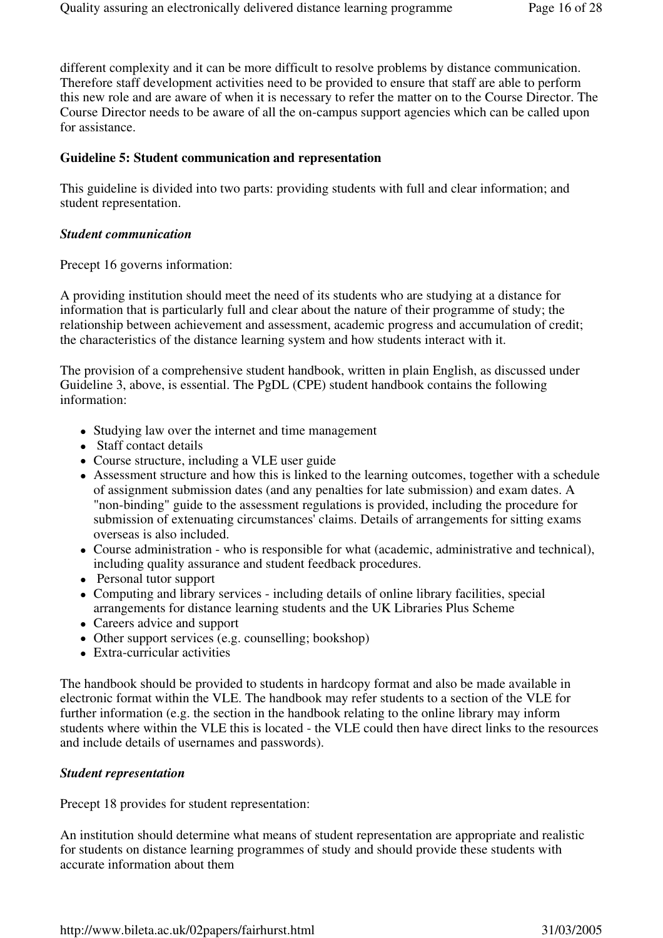different complexity and it can be more difficult to resolve problems by distance communication. Therefore staff development activities need to be provided to ensure that staff are able to perform this new role and are aware of when it is necessary to refer the matter on to the Course Director. The Course Director needs to be aware of all the on-campus support agencies which can be called upon for assistance.

# **Guideline 5: Student communication and representation**

This guideline is divided into two parts: providing students with full and clear information; and student representation.

#### *Student communication*

Precept 16 governs information:

A providing institution should meet the need of its students who are studying at a distance for information that is particularly full and clear about the nature of their programme of study; the relationship between achievement and assessment, academic progress and accumulation of credit; the characteristics of the distance learning system and how students interact with it.

The provision of a comprehensive student handbook, written in plain English, as discussed under Guideline 3, above, is essential. The PgDL (CPE) student handbook contains the following information:

- Studying law over the internet and time management
- Staff contact details
- Course structure, including a VLE user guide
- Assessment structure and how this is linked to the learning outcomes, together with a schedule of assignment submission dates (and any penalties for late submission) and exam dates. A "non-binding" guide to the assessment regulations is provided, including the procedure for submission of extenuating circumstances' claims. Details of arrangements for sitting exams overseas is also included.
- Course administration who is responsible for what (academic, administrative and technical), including quality assurance and student feedback procedures.
- Personal tutor support
- Computing and library services including details of online library facilities, special arrangements for distance learning students and the UK Libraries Plus Scheme
- Careers advice and support
- Other support services (e.g. counselling; bookshop)
- Extra-curricular activities

The handbook should be provided to students in hardcopy format and also be made available in electronic format within the VLE. The handbook may refer students to a section of the VLE for further information (e.g. the section in the handbook relating to the online library may inform students where within the VLE this is located - the VLE could then have direct links to the resources and include details of usernames and passwords).

#### *Student representation*

Precept 18 provides for student representation:

An institution should determine what means of student representation are appropriate and realistic for students on distance learning programmes of study and should provide these students with accurate information about them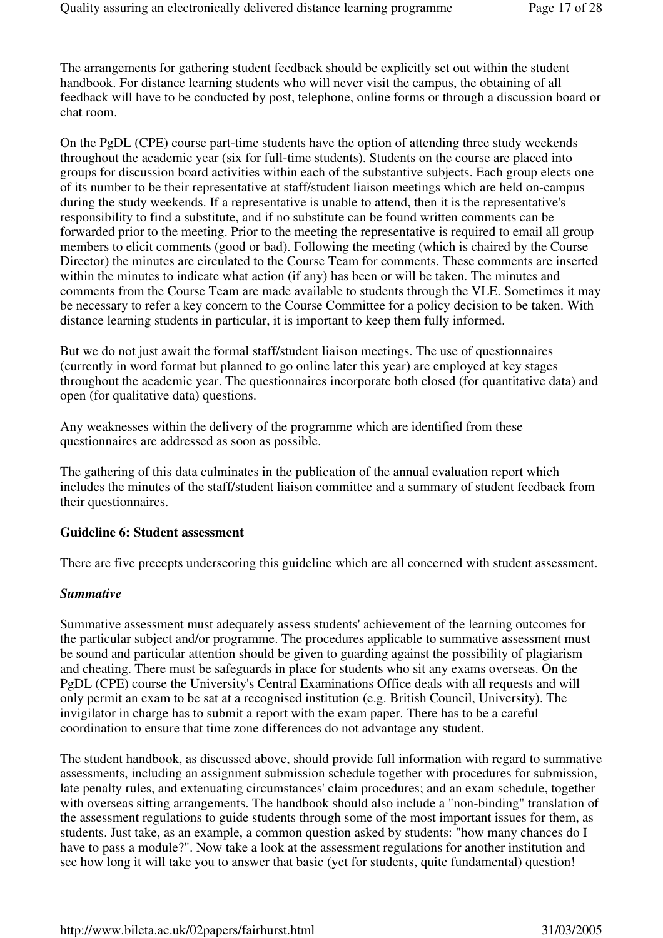The arrangements for gathering student feedback should be explicitly set out within the student handbook. For distance learning students who will never visit the campus, the obtaining of all feedback will have to be conducted by post, telephone, online forms or through a discussion board or chat room.

On the PgDL (CPE) course part-time students have the option of attending three study weekends throughout the academic year (six for full-time students). Students on the course are placed into groups for discussion board activities within each of the substantive subjects. Each group elects one of its number to be their representative at staff/student liaison meetings which are held on-campus during the study weekends. If a representative is unable to attend, then it is the representative's responsibility to find a substitute, and if no substitute can be found written comments can be forwarded prior to the meeting. Prior to the meeting the representative is required to email all group members to elicit comments (good or bad). Following the meeting (which is chaired by the Course Director) the minutes are circulated to the Course Team for comments. These comments are inserted within the minutes to indicate what action (if any) has been or will be taken. The minutes and comments from the Course Team are made available to students through the VLE. Sometimes it may be necessary to refer a key concern to the Course Committee for a policy decision to be taken. With distance learning students in particular, it is important to keep them fully informed.

But we do not just await the formal staff/student liaison meetings. The use of questionnaires (currently in word format but planned to go online later this year) are employed at key stages throughout the academic year. The questionnaires incorporate both closed (for quantitative data) and open (for qualitative data) questions.

Any weaknesses within the delivery of the programme which are identified from these questionnaires are addressed as soon as possible.

The gathering of this data culminates in the publication of the annual evaluation report which includes the minutes of the staff/student liaison committee and a summary of student feedback from their questionnaires.

#### **Guideline 6: Student assessment**

There are five precepts underscoring this guideline which are all concerned with student assessment.

#### *Summative*

Summative assessment must adequately assess students' achievement of the learning outcomes for the particular subject and/or programme. The procedures applicable to summative assessment must be sound and particular attention should be given to guarding against the possibility of plagiarism and cheating. There must be safeguards in place for students who sit any exams overseas. On the PgDL (CPE) course the University's Central Examinations Office deals with all requests and will only permit an exam to be sat at a recognised institution (e.g. British Council, University). The invigilator in charge has to submit a report with the exam paper. There has to be a careful coordination to ensure that time zone differences do not advantage any student.

The student handbook, as discussed above, should provide full information with regard to summative assessments, including an assignment submission schedule together with procedures for submission, late penalty rules, and extenuating circumstances' claim procedures; and an exam schedule, together with overseas sitting arrangements. The handbook should also include a "non-binding" translation of the assessment regulations to guide students through some of the most important issues for them, as students. Just take, as an example, a common question asked by students: "how many chances do I have to pass a module?". Now take a look at the assessment regulations for another institution and see how long it will take you to answer that basic (yet for students, quite fundamental) question!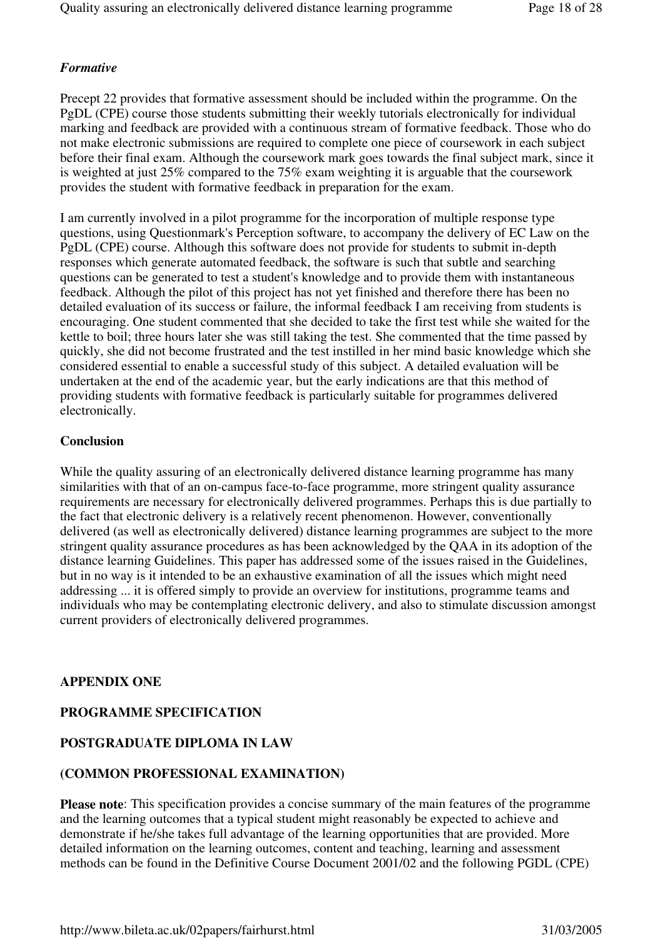# *Formative*

Precept 22 provides that formative assessment should be included within the programme. On the PgDL (CPE) course those students submitting their weekly tutorials electronically for individual marking and feedback are provided with a continuous stream of formative feedback. Those who do not make electronic submissions are required to complete one piece of coursework in each subject before their final exam. Although the coursework mark goes towards the final subject mark, since it is weighted at just 25% compared to the 75% exam weighting it is arguable that the coursework provides the student with formative feedback in preparation for the exam.

I am currently involved in a pilot programme for the incorporation of multiple response type questions, using Questionmark's Perception software, to accompany the delivery of EC Law on the PgDL (CPE) course. Although this software does not provide for students to submit in-depth responses which generate automated feedback, the software is such that subtle and searching questions can be generated to test a student's knowledge and to provide them with instantaneous feedback. Although the pilot of this project has not yet finished and therefore there has been no detailed evaluation of its success or failure, the informal feedback I am receiving from students is encouraging. One student commented that she decided to take the first test while she waited for the kettle to boil; three hours later she was still taking the test. She commented that the time passed by quickly, she did not become frustrated and the test instilled in her mind basic knowledge which she considered essential to enable a successful study of this subject. A detailed evaluation will be undertaken at the end of the academic year, but the early indications are that this method of providing students with formative feedback is particularly suitable for programmes delivered electronically.

#### **Conclusion**

While the quality assuring of an electronically delivered distance learning programme has many similarities with that of an on-campus face-to-face programme, more stringent quality assurance requirements are necessary for electronically delivered programmes. Perhaps this is due partially to the fact that electronic delivery is a relatively recent phenomenon. However, conventionally delivered (as well as electronically delivered) distance learning programmes are subject to the more stringent quality assurance procedures as has been acknowledged by the QAA in its adoption of the distance learning Guidelines. This paper has addressed some of the issues raised in the Guidelines, but in no way is it intended to be an exhaustive examination of all the issues which might need addressing ... it is offered simply to provide an overview for institutions, programme teams and individuals who may be contemplating electronic delivery, and also to stimulate discussion amongst current providers of electronically delivered programmes.

#### **APPENDIX ONE**

# **PROGRAMME SPECIFICATION**

# **POSTGRADUATE DIPLOMA IN LAW**

#### **(COMMON PROFESSIONAL EXAMINATION)**

**Please note**: This specification provides a concise summary of the main features of the programme and the learning outcomes that a typical student might reasonably be expected to achieve and demonstrate if he/she takes full advantage of the learning opportunities that are provided. More detailed information on the learning outcomes, content and teaching, learning and assessment methods can be found in the Definitive Course Document 2001/02 and the following PGDL (CPE)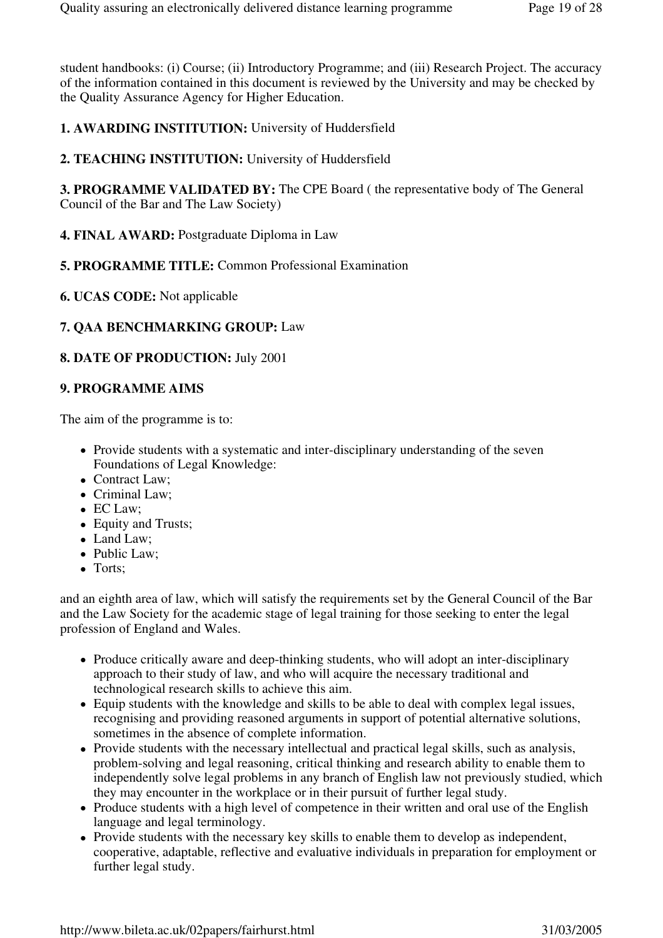student handbooks: (i) Course; (ii) Introductory Programme; and (iii) Research Project. The accuracy of the information contained in this document is reviewed by the University and may be checked by the Quality Assurance Agency for Higher Education.

**1. AWARDING INSTITUTION:** University of Huddersfield

**2. TEACHING INSTITUTION:** University of Huddersfield

**3. PROGRAMME VALIDATED BY:** The CPE Board ( the representative body of The General Council of the Bar and The Law Society)

- **4. FINAL AWARD:** Postgraduate Diploma in Law
- **5. PROGRAMME TITLE:** Common Professional Examination
- **6. UCAS CODE:** Not applicable

# **7. QAA BENCHMARKING GROUP:** Law

# **8. DATE OF PRODUCTION:** July 2001

# **9. PROGRAMME AIMS**

The aim of the programme is to:

- Provide students with a systematic and inter-disciplinary understanding of the seven Foundations of Legal Knowledge:
- Contract Law;
- Criminal Law:
- EC Law:
- Equity and Trusts;
- Land Law;
- Public Law:
- Torts:

and an eighth area of law, which will satisfy the requirements set by the General Council of the Bar and the Law Society for the academic stage of legal training for those seeking to enter the legal profession of England and Wales.

- Produce critically aware and deep-thinking students, who will adopt an inter-disciplinary approach to their study of law, and who will acquire the necessary traditional and technological research skills to achieve this aim.
- Equip students with the knowledge and skills to be able to deal with complex legal issues, recognising and providing reasoned arguments in support of potential alternative solutions, sometimes in the absence of complete information.
- Provide students with the necessary intellectual and practical legal skills, such as analysis, problem-solving and legal reasoning, critical thinking and research ability to enable them to independently solve legal problems in any branch of English law not previously studied, which they may encounter in the workplace or in their pursuit of further legal study.
- Produce students with a high level of competence in their written and oral use of the English language and legal terminology.
- Provide students with the necessary key skills to enable them to develop as independent, cooperative, adaptable, reflective and evaluative individuals in preparation for employment or further legal study.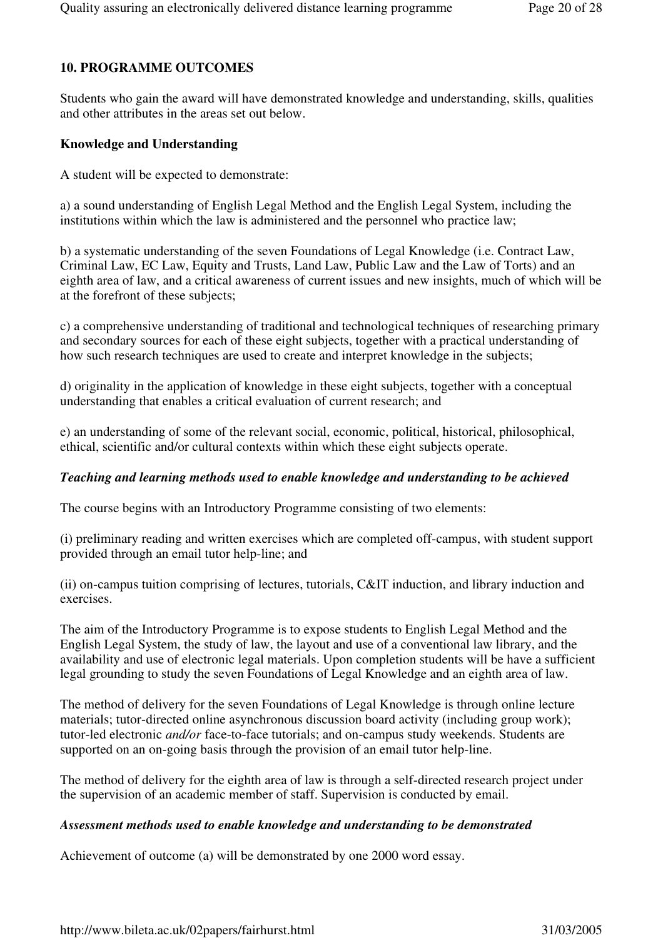# **10. PROGRAMME OUTCOMES**

Students who gain the award will have demonstrated knowledge and understanding, skills, qualities and other attributes in the areas set out below.

# **Knowledge and Understanding**

A student will be expected to demonstrate:

a) a sound understanding of English Legal Method and the English Legal System, including the institutions within which the law is administered and the personnel who practice law;

b) a systematic understanding of the seven Foundations of Legal Knowledge (i.e. Contract Law, Criminal Law, EC Law, Equity and Trusts, Land Law, Public Law and the Law of Torts) and an eighth area of law, and a critical awareness of current issues and new insights, much of which will be at the forefront of these subjects;

c) a comprehensive understanding of traditional and technological techniques of researching primary and secondary sources for each of these eight subjects, together with a practical understanding of how such research techniques are used to create and interpret knowledge in the subjects;

d) originality in the application of knowledge in these eight subjects, together with a conceptual understanding that enables a critical evaluation of current research; and

e) an understanding of some of the relevant social, economic, political, historical, philosophical, ethical, scientific and/or cultural contexts within which these eight subjects operate.

# *Teaching and learning methods used to enable knowledge and understanding to be achieved*

The course begins with an Introductory Programme consisting of two elements:

(i) preliminary reading and written exercises which are completed off-campus, with student support provided through an email tutor help-line; and

(ii) on-campus tuition comprising of lectures, tutorials, C&IT induction, and library induction and exercises.

The aim of the Introductory Programme is to expose students to English Legal Method and the English Legal System, the study of law, the layout and use of a conventional law library, and the availability and use of electronic legal materials. Upon completion students will be have a sufficient legal grounding to study the seven Foundations of Legal Knowledge and an eighth area of law.

The method of delivery for the seven Foundations of Legal Knowledge is through online lecture materials; tutor-directed online asynchronous discussion board activity (including group work); tutor-led electronic *and/or* face-to-face tutorials; and on-campus study weekends. Students are supported on an on-going basis through the provision of an email tutor help-line.

The method of delivery for the eighth area of law is through a self-directed research project under the supervision of an academic member of staff. Supervision is conducted by email.

# *Assessment methods used to enable knowledge and understanding to be demonstrated*

Achievement of outcome (a) will be demonstrated by one 2000 word essay.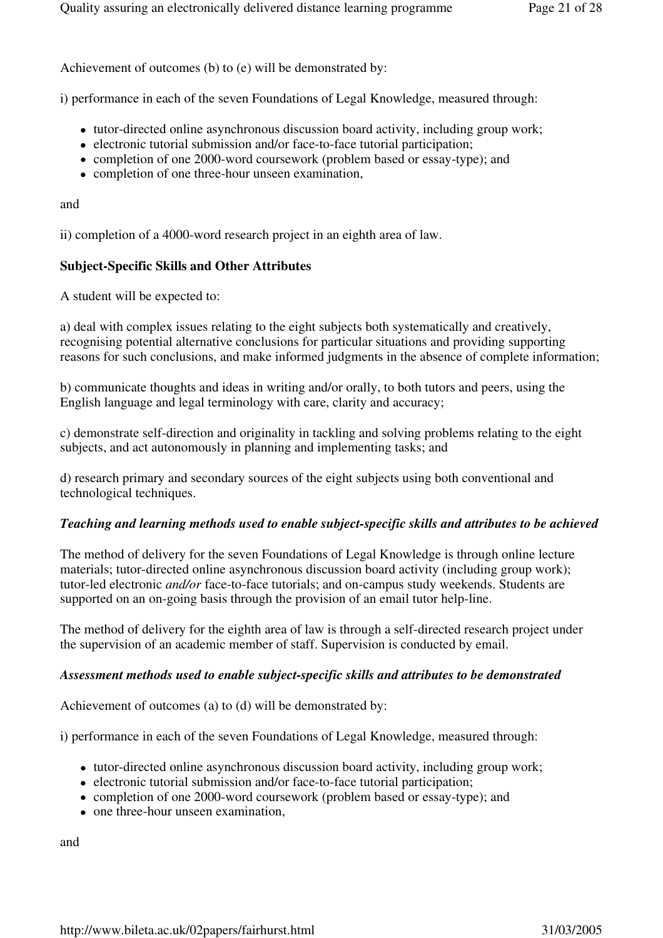Achievement of outcomes (b) to (e) will be demonstrated by:

i) performance in each of the seven Foundations of Legal Knowledge, measured through:

- tutor-directed online asynchronous discussion board activity, including group work;
- electronic tutorial submission and/or face-to-face tutorial participation;
- completion of one 2000-word coursework (problem based or essay-type); and
- completion of one three-hour unseen examination,

and

ii) completion of a 4000-word research project in an eighth area of law.

#### **Subject-Specific Skills and Other Attributes**

A student will be expected to:

a) deal with complex issues relating to the eight subjects both systematically and creatively, recognising potential alternative conclusions for particular situations and providing supporting reasons for such conclusions, and make informed judgments in the absence of complete information;

b) communicate thoughts and ideas in writing and/or orally, to both tutors and peers, using the English language and legal terminology with care, clarity and accuracy;

c) demonstrate self-direction and originality in tackling and solving problems relating to the eight subjects, and act autonomously in planning and implementing tasks; and

d) research primary and secondary sources of the eight subjects using both conventional and technological techniques.

#### *Teaching and learning methods used to enable subject-specific skills and attributes to be achieved*

The method of delivery for the seven Foundations of Legal Knowledge is through online lecture materials; tutor-directed online asynchronous discussion board activity (including group work); tutor-led electronic *and/or* face-to-face tutorials; and on-campus study weekends. Students are supported on an on-going basis through the provision of an email tutor help-line.

The method of delivery for the eighth area of law is through a self-directed research project under the supervision of an academic member of staff. Supervision is conducted by email.

#### *Assessment methods used to enable subject-specific skills and attributes to be demonstrated*

Achievement of outcomes (a) to (d) will be demonstrated by:

i) performance in each of the seven Foundations of Legal Knowledge, measured through:

- tutor-directed online asynchronous discussion board activity, including group work;
- electronic tutorial submission and/or face-to-face tutorial participation;
- completion of one 2000-word coursework (problem based or essay-type); and
- one three-hour unseen examination.

and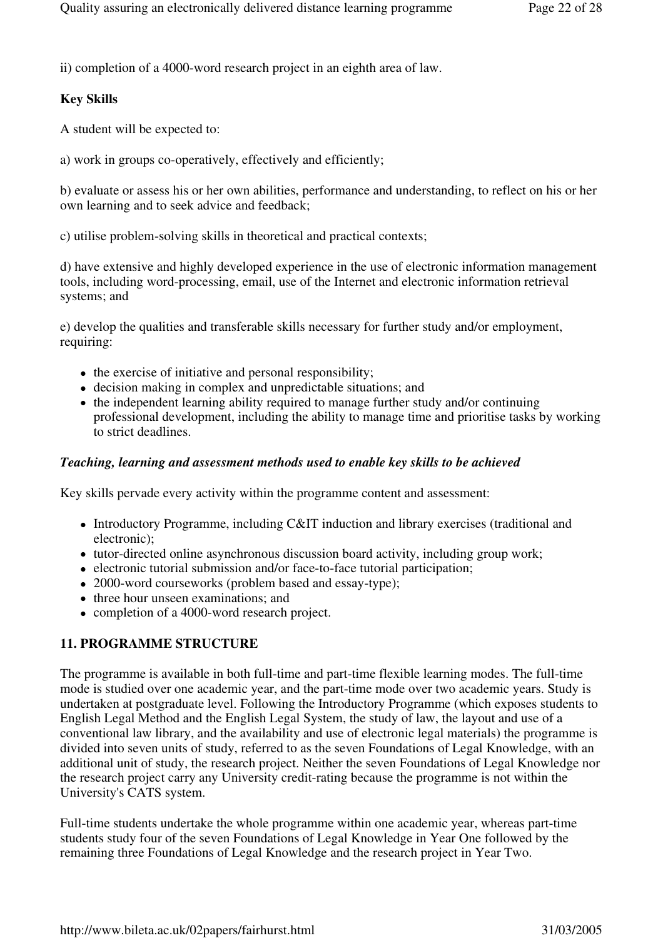ii) completion of a 4000-word research project in an eighth area of law.

# **Key Skills**

A student will be expected to:

a) work in groups co-operatively, effectively and efficiently;

b) evaluate or assess his or her own abilities, performance and understanding, to reflect on his or her own learning and to seek advice and feedback;

c) utilise problem-solving skills in theoretical and practical contexts;

d) have extensive and highly developed experience in the use of electronic information management tools, including word-processing, email, use of the Internet and electronic information retrieval systems; and

e) develop the qualities and transferable skills necessary for further study and/or employment, requiring:

- the exercise of initiative and personal responsibility;
- decision making in complex and unpredictable situations; and
- the independent learning ability required to manage further study and/or continuing professional development, including the ability to manage time and prioritise tasks by working to strict deadlines.

#### *Teaching, learning and assessment methods used to enable key skills to be achieved*

Key skills pervade every activity within the programme content and assessment:

- Introductory Programme, including C&IT induction and library exercises (traditional and electronic);
- tutor-directed online asynchronous discussion board activity, including group work;
- electronic tutorial submission and/or face-to-face tutorial participation;
- 2000-word courseworks (problem based and essay-type);
- three hour unseen examinations; and
- completion of a 4000-word research project.

# **11. PROGRAMME STRUCTURE**

The programme is available in both full-time and part-time flexible learning modes. The full-time mode is studied over one academic year, and the part-time mode over two academic years. Study is undertaken at postgraduate level. Following the Introductory Programme (which exposes students to English Legal Method and the English Legal System, the study of law, the layout and use of a conventional law library, and the availability and use of electronic legal materials) the programme is divided into seven units of study, referred to as the seven Foundations of Legal Knowledge, with an additional unit of study, the research project. Neither the seven Foundations of Legal Knowledge nor the research project carry any University credit-rating because the programme is not within the University's CATS system.

Full-time students undertake the whole programme within one academic year, whereas part-time students study four of the seven Foundations of Legal Knowledge in Year One followed by the remaining three Foundations of Legal Knowledge and the research project in Year Two.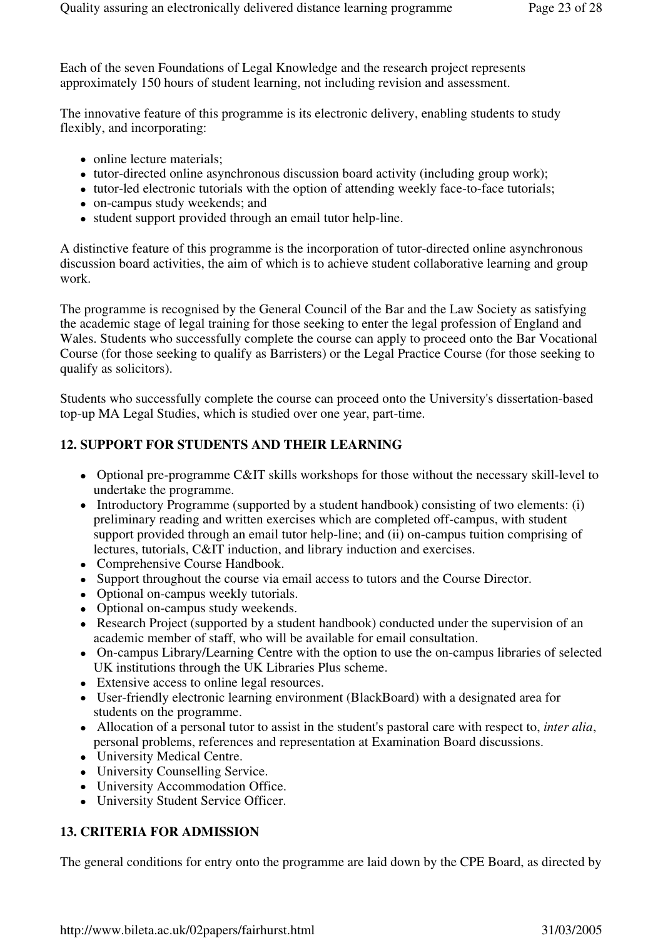Each of the seven Foundations of Legal Knowledge and the research project represents approximately 150 hours of student learning, not including revision and assessment.

The innovative feature of this programme is its electronic delivery, enabling students to study flexibly, and incorporating:

- online lecture materials:
- tutor-directed online asynchronous discussion board activity (including group work);
- tutor-led electronic tutorials with the option of attending weekly face-to-face tutorials;
- on-campus study weekends; and
- student support provided through an email tutor help-line.

A distinctive feature of this programme is the incorporation of tutor-directed online asynchronous discussion board activities, the aim of which is to achieve student collaborative learning and group work.

The programme is recognised by the General Council of the Bar and the Law Society as satisfying the academic stage of legal training for those seeking to enter the legal profession of England and Wales. Students who successfully complete the course can apply to proceed onto the Bar Vocational Course (for those seeking to qualify as Barristers) or the Legal Practice Course (for those seeking to qualify as solicitors).

Students who successfully complete the course can proceed onto the University's dissertation-based top-up MA Legal Studies, which is studied over one year, part-time.

# **12. SUPPORT FOR STUDENTS AND THEIR LEARNING**

- Optional pre-programme C&IT skills workshops for those without the necessary skill-level to undertake the programme.
- Introductory Programme (supported by a student handbook) consisting of two elements: (i) preliminary reading and written exercises which are completed off-campus, with student support provided through an email tutor help-line; and (ii) on-campus tuition comprising of lectures, tutorials, C&IT induction, and library induction and exercises.
- Comprehensive Course Handbook.
- Support throughout the course via email access to tutors and the Course Director.
- Optional on-campus weekly tutorials.
- Optional on-campus study weekends.
- Research Project (supported by a student handbook) conducted under the supervision of an academic member of staff, who will be available for email consultation.
- On-campus Library/Learning Centre with the option to use the on-campus libraries of selected UK institutions through the UK Libraries Plus scheme.
- Extensive access to online legal resources.
- User-friendly electronic learning environment (BlackBoard) with a designated area for students on the programme.
- Allocation of a personal tutor to assist in the student's pastoral care with respect to, *inter alia*, personal problems, references and representation at Examination Board discussions.
- University Medical Centre.
- University Counselling Service.
- University Accommodation Office.
- University Student Service Officer.

# **13. CRITERIA FOR ADMISSION**

The general conditions for entry onto the programme are laid down by the CPE Board, as directed by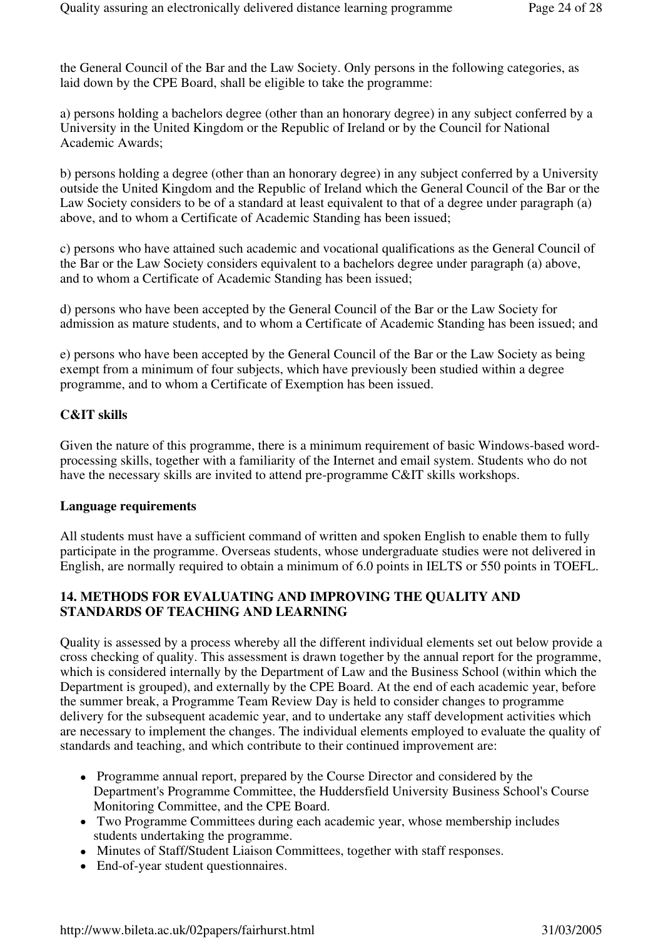the General Council of the Bar and the Law Society. Only persons in the following categories, as laid down by the CPE Board, shall be eligible to take the programme:

a) persons holding a bachelors degree (other than an honorary degree) in any subject conferred by a University in the United Kingdom or the Republic of Ireland or by the Council for National Academic Awards;

b) persons holding a degree (other than an honorary degree) in any subject conferred by a University outside the United Kingdom and the Republic of Ireland which the General Council of the Bar or the Law Society considers to be of a standard at least equivalent to that of a degree under paragraph (a) above, and to whom a Certificate of Academic Standing has been issued;

c) persons who have attained such academic and vocational qualifications as the General Council of the Bar or the Law Society considers equivalent to a bachelors degree under paragraph (a) above, and to whom a Certificate of Academic Standing has been issued;

d) persons who have been accepted by the General Council of the Bar or the Law Society for admission as mature students, and to whom a Certificate of Academic Standing has been issued; and

e) persons who have been accepted by the General Council of the Bar or the Law Society as being exempt from a minimum of four subjects, which have previously been studied within a degree programme, and to whom a Certificate of Exemption has been issued.

#### **C&IT skills**

Given the nature of this programme, there is a minimum requirement of basic Windows-based wordprocessing skills, together with a familiarity of the Internet and email system. Students who do not have the necessary skills are invited to attend pre-programme C&IT skills workshops.

#### **Language requirements**

All students must have a sufficient command of written and spoken English to enable them to fully participate in the programme. Overseas students, whose undergraduate studies were not delivered in English, are normally required to obtain a minimum of 6.0 points in IELTS or 550 points in TOEFL.

# **14. METHODS FOR EVALUATING AND IMPROVING THE QUALITY AND STANDARDS OF TEACHING AND LEARNING**

Quality is assessed by a process whereby all the different individual elements set out below provide a cross checking of quality. This assessment is drawn together by the annual report for the programme, which is considered internally by the Department of Law and the Business School (within which the Department is grouped), and externally by the CPE Board. At the end of each academic year, before the summer break, a Programme Team Review Day is held to consider changes to programme delivery for the subsequent academic year, and to undertake any staff development activities which are necessary to implement the changes. The individual elements employed to evaluate the quality of standards and teaching, and which contribute to their continued improvement are:

- Programme annual report, prepared by the Course Director and considered by the Department's Programme Committee, the Huddersfield University Business School's Course Monitoring Committee, and the CPE Board.
- Two Programme Committees during each academic year, whose membership includes students undertaking the programme.
- Minutes of Staff/Student Liaison Committees, together with staff responses.
- End-of-year student questionnaires.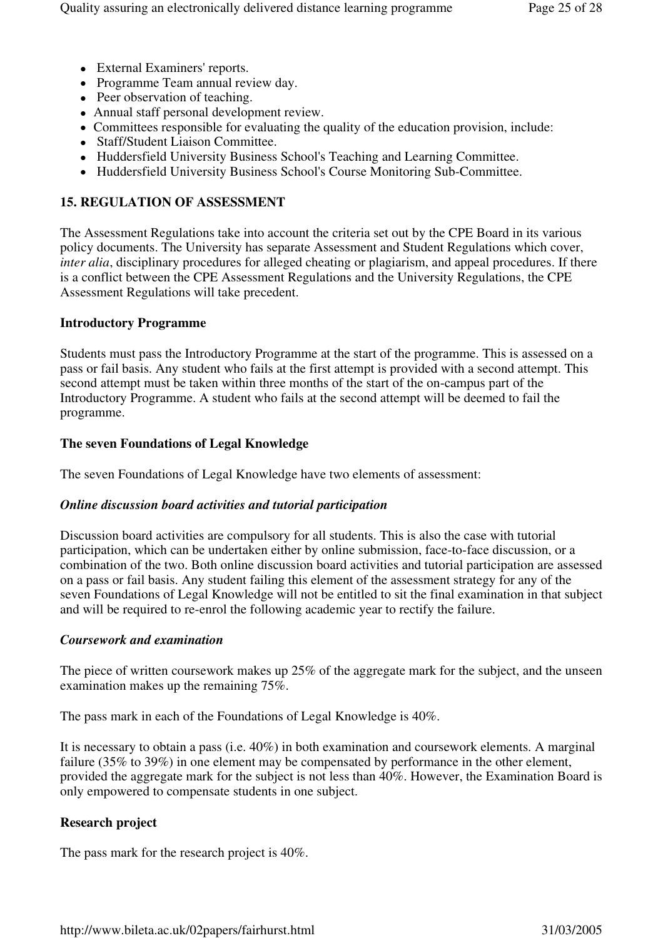- External Examiners' reports.
- Programme Team annual review day.
- Peer observation of teaching.
- Annual staff personal development review.
- Committees responsible for evaluating the quality of the education provision, include:
- Staff/Student Liaison Committee.
- Huddersfield University Business School's Teaching and Learning Committee.
- Huddersfield University Business School's Course Monitoring Sub-Committee.

# **15. REGULATION OF ASSESSMENT**

The Assessment Regulations take into account the criteria set out by the CPE Board in its various policy documents. The University has separate Assessment and Student Regulations which cover, *inter alia*, disciplinary procedures for alleged cheating or plagiarism, and appeal procedures. If there is a conflict between the CPE Assessment Regulations and the University Regulations, the CPE Assessment Regulations will take precedent.

#### **Introductory Programme**

Students must pass the Introductory Programme at the start of the programme. This is assessed on a pass or fail basis. Any student who fails at the first attempt is provided with a second attempt. This second attempt must be taken within three months of the start of the on-campus part of the Introductory Programme. A student who fails at the second attempt will be deemed to fail the programme.

#### **The seven Foundations of Legal Knowledge**

The seven Foundations of Legal Knowledge have two elements of assessment:

#### *Online discussion board activities and tutorial participation*

Discussion board activities are compulsory for all students. This is also the case with tutorial participation, which can be undertaken either by online submission, face-to-face discussion, or a combination of the two. Both online discussion board activities and tutorial participation are assessed on a pass or fail basis. Any student failing this element of the assessment strategy for any of the seven Foundations of Legal Knowledge will not be entitled to sit the final examination in that subject and will be required to re-enrol the following academic year to rectify the failure.

#### *Coursework and examination*

The piece of written coursework makes up 25% of the aggregate mark for the subject, and the unseen examination makes up the remaining 75%.

The pass mark in each of the Foundations of Legal Knowledge is 40%.

It is necessary to obtain a pass (i.e. 40%) in both examination and coursework elements. A marginal failure (35% to 39%) in one element may be compensated by performance in the other element, provided the aggregate mark for the subject is not less than 40%. However, the Examination Board is only empowered to compensate students in one subject.

#### **Research project**

The pass mark for the research project is 40%.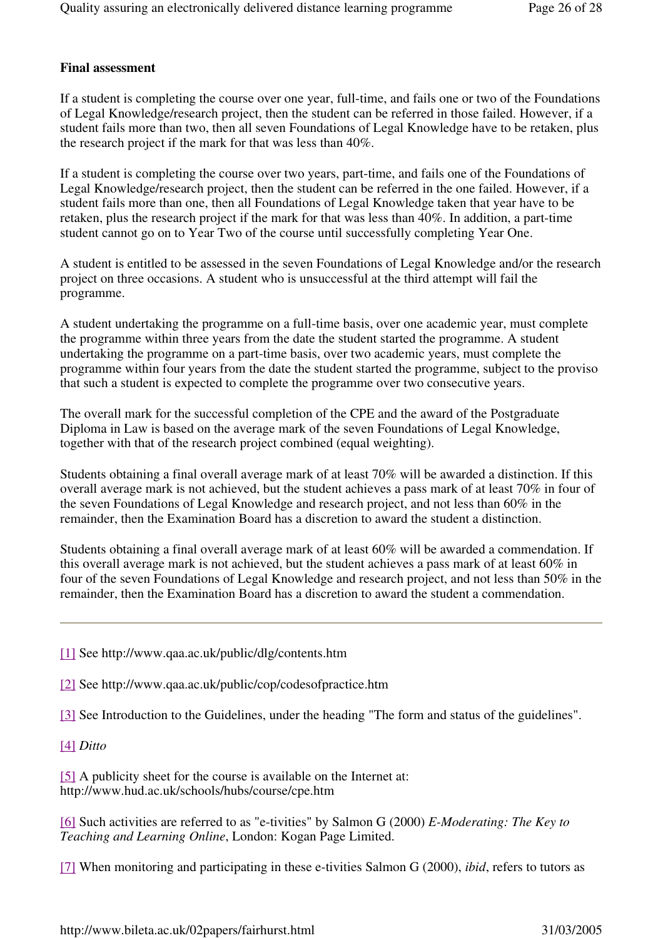#### **Final assessment**

If a student is completing the course over one year, full-time, and fails one or two of the Foundations of Legal Knowledge/research project, then the student can be referred in those failed. However, if a student fails more than two, then all seven Foundations of Legal Knowledge have to be retaken, plus the research project if the mark for that was less than 40%.

If a student is completing the course over two years, part-time, and fails one of the Foundations of Legal Knowledge/research project, then the student can be referred in the one failed. However, if a student fails more than one, then all Foundations of Legal Knowledge taken that year have to be retaken, plus the research project if the mark for that was less than 40%. In addition, a part-time student cannot go on to Year Two of the course until successfully completing Year One.

A student is entitled to be assessed in the seven Foundations of Legal Knowledge and/or the research project on three occasions. A student who is unsuccessful at the third attempt will fail the programme.

A student undertaking the programme on a full-time basis, over one academic year, must complete the programme within three years from the date the student started the programme. A student undertaking the programme on a part-time basis, over two academic years, must complete the programme within four years from the date the student started the programme, subject to the proviso that such a student is expected to complete the programme over two consecutive years.

The overall mark for the successful completion of the CPE and the award of the Postgraduate Diploma in Law is based on the average mark of the seven Foundations of Legal Knowledge, together with that of the research project combined (equal weighting).

Students obtaining a final overall average mark of at least 70% will be awarded a distinction. If this overall average mark is not achieved, but the student achieves a pass mark of at least 70% in four of the seven Foundations of Legal Knowledge and research project, and not less than 60% in the remainder, then the Examination Board has a discretion to award the student a distinction.

Students obtaining a final overall average mark of at least 60% will be awarded a commendation. If this overall average mark is not achieved, but the student achieves a pass mark of at least 60% in four of the seven Foundations of Legal Knowledge and research project, and not less than 50% in the remainder, then the Examination Board has a discretion to award the student a commendation.

- [1] See http://www.qaa.ac.uk/public/dlg/contents.htm
- [2] See http://www.qaa.ac.uk/public/cop/codesofpractice.htm
- [3] See Introduction to the Guidelines, under the heading "The form and status of the guidelines".
- [4] *Ditto*

[5] A publicity sheet for the course is available on the Internet at: http://www.hud.ac.uk/schools/hubs/course/cpe.htm

[6] Such activities are referred to as "e-tivities" by Salmon G (2000) *E-Moderating: The Key to Teaching and Learning Online*, London: Kogan Page Limited.

[7] When monitoring and participating in these e-tivities Salmon G (2000), *ibid*, refers to tutors as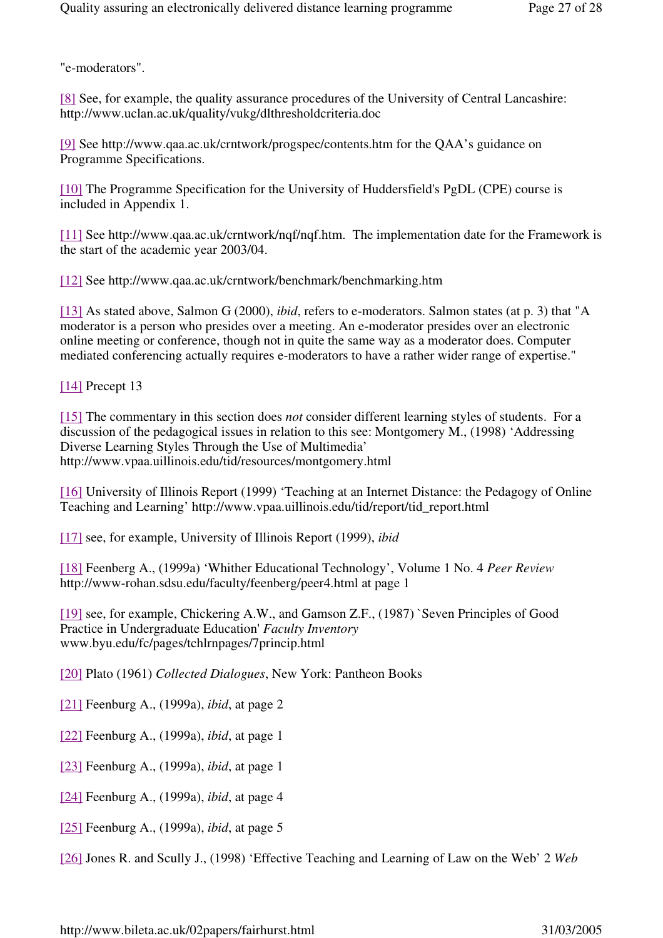"e-moderators".

[8] See, for example, the quality assurance procedures of the University of Central Lancashire: http://www.uclan.ac.uk/quality/vukg/dlthresholdcriteria.doc

[9] See http://www.qaa.ac.uk/crntwork/progspec/contents.htm for the QAA's guidance on Programme Specifications.

[10] The Programme Specification for the University of Huddersfield's PgDL (CPE) course is included in Appendix 1.

[11] See http://www.qaa.ac.uk/crntwork/nqf/nqf.htm. The implementation date for the Framework is the start of the academic year 2003/04.

[12] See http://www.qaa.ac.uk/crntwork/benchmark/benchmarking.htm

[13] As stated above, Salmon G (2000), *ibid*, refers to e-moderators. Salmon states (at p. 3) that "A moderator is a person who presides over a meeting. An e-moderator presides over an electronic online meeting or conference, though not in quite the same way as a moderator does. Computer mediated conferencing actually requires e-moderators to have a rather wider range of expertise."

[14] Precept 13

[15] The commentary in this section does *not* consider different learning styles of students. For a discussion of the pedagogical issues in relation to this see: Montgomery M., (1998) 'Addressing Diverse Learning Styles Through the Use of Multimedia' http://www.vpaa.uillinois.edu/tid/resources/montgomery.html

[16] University of Illinois Report (1999) 'Teaching at an Internet Distance: the Pedagogy of Online Teaching and Learning' http://www.vpaa.uillinois.edu/tid/report/tid\_report.html

[17] see, for example, University of Illinois Report (1999), *ibid*

[18] Feenberg A., (1999a) 'Whither Educational Technology', Volume 1 No. 4 *Peer Review*  http://www-rohan.sdsu.edu/faculty/feenberg/peer4.html at page 1

[19] see, for example, Chickering A.W., and Gamson Z.F., (1987) `Seven Principles of Good Practice in Undergraduate Education' *Faculty Inventory*  www.byu.edu/fc/pages/tchlrnpages/7princip.html

[20] Plato (1961) *Collected Dialogues*, New York: Pantheon Books

[21] Feenburg A., (1999a), *ibid*, at page 2

[22] Feenburg A., (1999a), *ibid*, at page 1

[23] Feenburg A., (1999a), *ibid*, at page 1

[24] Feenburg A., (1999a), *ibid*, at page 4

[25] Feenburg A., (1999a), *ibid*, at page 5

[26] Jones R. and Scully J., (1998) 'Effective Teaching and Learning of Law on the Web' 2 *Web*